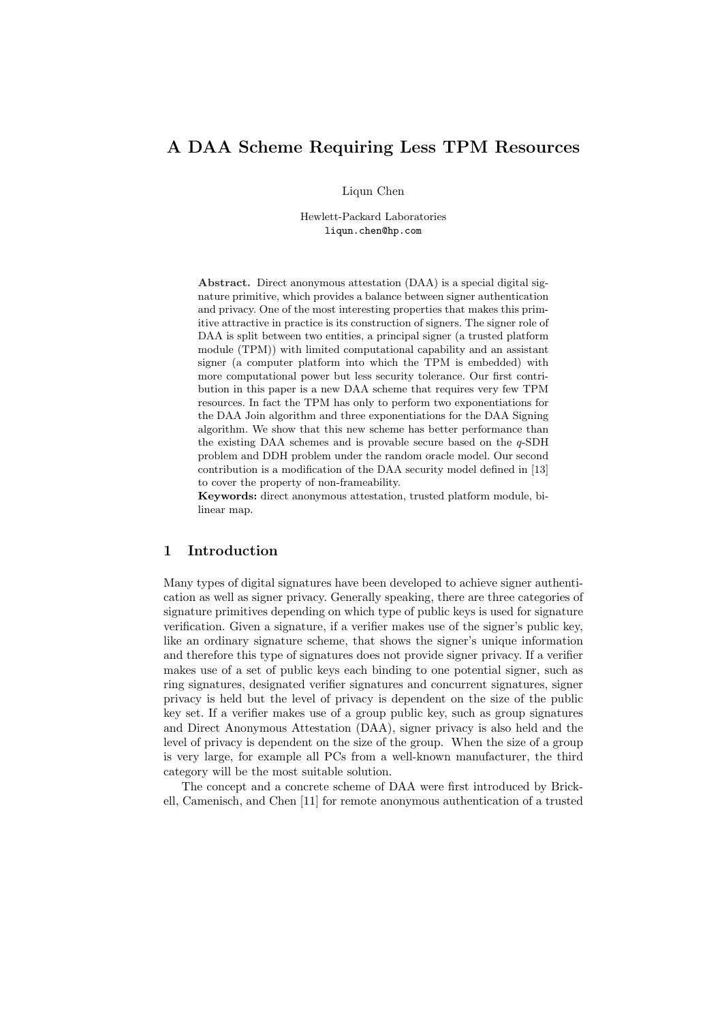# A DAA Scheme Requiring Less TPM Resources

Liqun Chen

Hewlett-Packard Laboratories liqun.chen@hp.com

Abstract. Direct anonymous attestation (DAA) is a special digital signature primitive, which provides a balance between signer authentication and privacy. One of the most interesting properties that makes this primitive attractive in practice is its construction of signers. The signer role of DAA is split between two entities, a principal signer (a trusted platform module (TPM)) with limited computational capability and an assistant signer (a computer platform into which the TPM is embedded) with more computational power but less security tolerance. Our first contribution in this paper is a new DAA scheme that requires very few TPM resources. In fact the TPM has only to perform two exponentiations for the DAA Join algorithm and three exponentiations for the DAA Signing algorithm. We show that this new scheme has better performance than the existing DAA schemes and is provable secure based on the  $q$ -SDH problem and DDH problem under the random oracle model. Our second contribution is a modification of the DAA security model defined in [13] to cover the property of non-frameability.

Keywords: direct anonymous attestation, trusted platform module, bilinear map.

# 1 Introduction

Many types of digital signatures have been developed to achieve signer authentication as well as signer privacy. Generally speaking, there are three categories of signature primitives depending on which type of public keys is used for signature verification. Given a signature, if a verifier makes use of the signer's public key, like an ordinary signature scheme, that shows the signer's unique information and therefore this type of signatures does not provide signer privacy. If a verifier makes use of a set of public keys each binding to one potential signer, such as ring signatures, designated verifier signatures and concurrent signatures, signer privacy is held but the level of privacy is dependent on the size of the public key set. If a verifier makes use of a group public key, such as group signatures and Direct Anonymous Attestation (DAA), signer privacy is also held and the level of privacy is dependent on the size of the group. When the size of a group is very large, for example all PCs from a well-known manufacturer, the third category will be the most suitable solution.

The concept and a concrete scheme of DAA were first introduced by Brickell, Camenisch, and Chen [11] for remote anonymous authentication of a trusted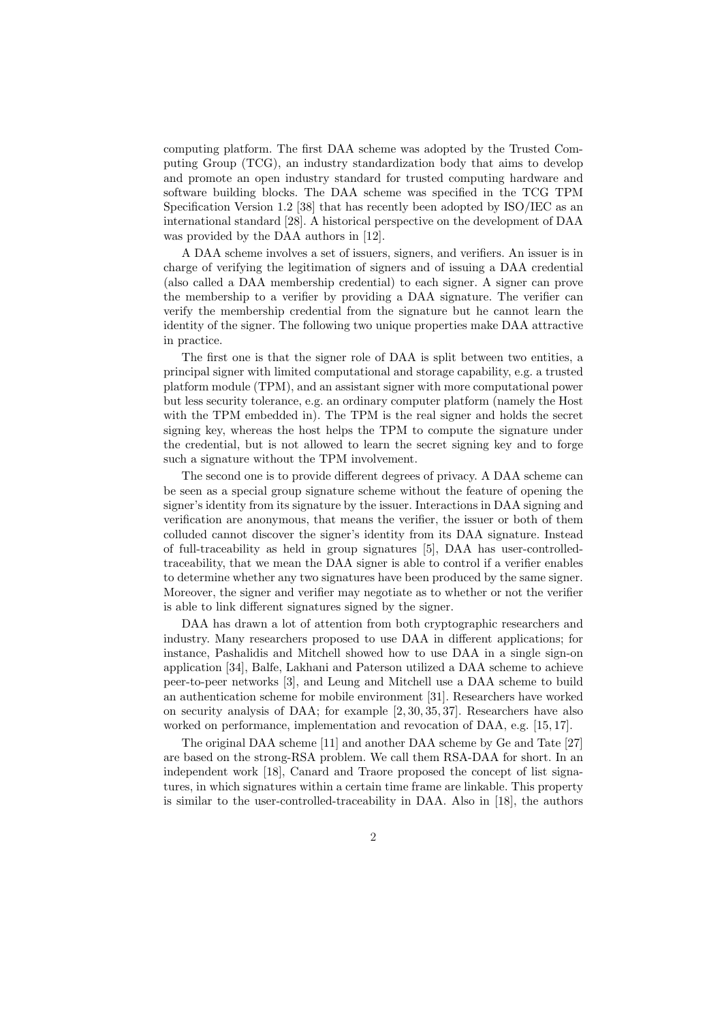computing platform. The first DAA scheme was adopted by the Trusted Computing Group (TCG), an industry standardization body that aims to develop and promote an open industry standard for trusted computing hardware and software building blocks. The DAA scheme was specified in the TCG TPM Specification Version 1.2 [38] that has recently been adopted by ISO/IEC as an international standard [28]. A historical perspective on the development of DAA was provided by the DAA authors in [12].

A DAA scheme involves a set of issuers, signers, and verifiers. An issuer is in charge of verifying the legitimation of signers and of issuing a DAA credential (also called a DAA membership credential) to each signer. A signer can prove the membership to a verifier by providing a DAA signature. The verifier can verify the membership credential from the signature but he cannot learn the identity of the signer. The following two unique properties make DAA attractive in practice.

The first one is that the signer role of DAA is split between two entities, a principal signer with limited computational and storage capability, e.g. a trusted platform module (TPM), and an assistant signer with more computational power but less security tolerance, e.g. an ordinary computer platform (namely the Host with the TPM embedded in). The TPM is the real signer and holds the secret signing key, whereas the host helps the TPM to compute the signature under the credential, but is not allowed to learn the secret signing key and to forge such a signature without the TPM involvement.

The second one is to provide different degrees of privacy. A DAA scheme can be seen as a special group signature scheme without the feature of opening the signer's identity from its signature by the issuer. Interactions in DAA signing and verification are anonymous, that means the verifier, the issuer or both of them colluded cannot discover the signer's identity from its DAA signature. Instead of full-traceability as held in group signatures [5], DAA has user-controlledtraceability, that we mean the DAA signer is able to control if a verifier enables to determine whether any two signatures have been produced by the same signer. Moreover, the signer and verifier may negotiate as to whether or not the verifier is able to link different signatures signed by the signer.

DAA has drawn a lot of attention from both cryptographic researchers and industry. Many researchers proposed to use DAA in different applications; for instance, Pashalidis and Mitchell showed how to use DAA in a single sign-on application [34], Balfe, Lakhani and Paterson utilized a DAA scheme to achieve peer-to-peer networks [3], and Leung and Mitchell use a DAA scheme to build an authentication scheme for mobile environment [31]. Researchers have worked on security analysis of DAA; for example [2, 30, 35, 37]. Researchers have also worked on performance, implementation and revocation of DAA, e.g. [15, 17].

The original DAA scheme [11] and another DAA scheme by Ge and Tate [27] are based on the strong-RSA problem. We call them RSA-DAA for short. In an independent work [18], Canard and Traore proposed the concept of list signatures, in which signatures within a certain time frame are linkable. This property is similar to the user-controlled-traceability in DAA. Also in [18], the authors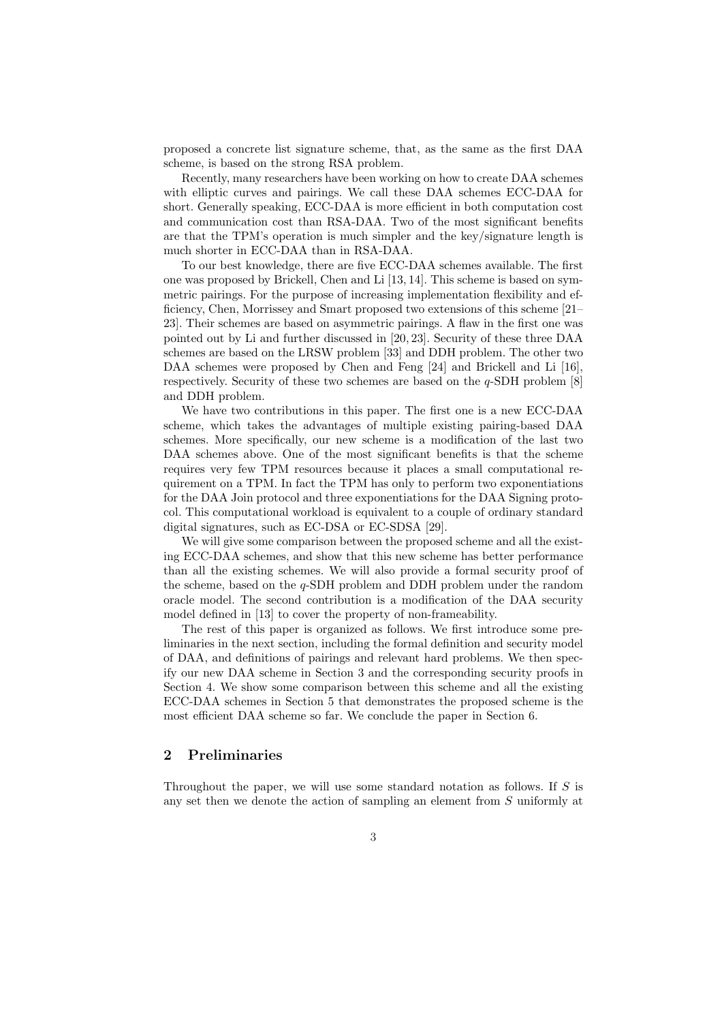proposed a concrete list signature scheme, that, as the same as the first DAA scheme, is based on the strong RSA problem.

Recently, many researchers have been working on how to create DAA schemes with elliptic curves and pairings. We call these DAA schemes ECC-DAA for short. Generally speaking, ECC-DAA is more efficient in both computation cost and communication cost than RSA-DAA. Two of the most significant benefits are that the TPM's operation is much simpler and the key/signature length is much shorter in ECC-DAA than in RSA-DAA.

To our best knowledge, there are five ECC-DAA schemes available. The first one was proposed by Brickell, Chen and Li [13, 14]. This scheme is based on symmetric pairings. For the purpose of increasing implementation flexibility and efficiency, Chen, Morrissey and Smart proposed two extensions of this scheme [21– 23]. Their schemes are based on asymmetric pairings. A flaw in the first one was pointed out by Li and further discussed in [20, 23]. Security of these three DAA schemes are based on the LRSW problem [33] and DDH problem. The other two DAA schemes were proposed by Chen and Feng [24] and Brickell and Li [16], respectively. Security of these two schemes are based on the  $q$ -SDH problem [8] and DDH problem.

We have two contributions in this paper. The first one is a new ECC-DAA scheme, which takes the advantages of multiple existing pairing-based DAA schemes. More specifically, our new scheme is a modification of the last two DAA schemes above. One of the most significant benefits is that the scheme requires very few TPM resources because it places a small computational requirement on a TPM. In fact the TPM has only to perform two exponentiations for the DAA Join protocol and three exponentiations for the DAA Signing protocol. This computational workload is equivalent to a couple of ordinary standard digital signatures, such as EC-DSA or EC-SDSA [29].

We will give some comparison between the proposed scheme and all the existing ECC-DAA schemes, and show that this new scheme has better performance than all the existing schemes. We will also provide a formal security proof of the scheme, based on the q-SDH problem and DDH problem under the random oracle model. The second contribution is a modification of the DAA security model defined in [13] to cover the property of non-frameability.

The rest of this paper is organized as follows. We first introduce some preliminaries in the next section, including the formal definition and security model of DAA, and definitions of pairings and relevant hard problems. We then specify our new DAA scheme in Section 3 and the corresponding security proofs in Section 4. We show some comparison between this scheme and all the existing ECC-DAA schemes in Section 5 that demonstrates the proposed scheme is the most efficient DAA scheme so far. We conclude the paper in Section 6.

# 2 Preliminaries

Throughout the paper, we will use some standard notation as follows. If S is any set then we denote the action of sampling an element from S uniformly at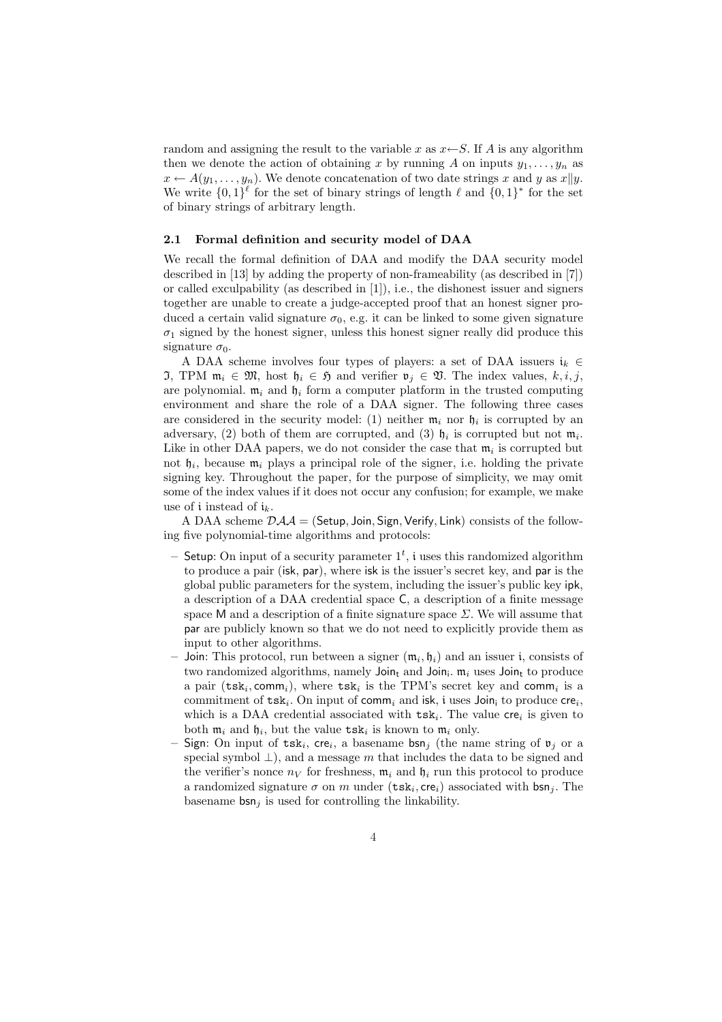random and assigning the result to the variable x as  $x \leftarrow S$ . If A is any algorithm then we denote the action of obtaining x by running A on inputs  $y_1, \ldots, y_n$  as  $x \leftarrow A(y_1, \ldots, y_n)$ . We denote concatenation of two date strings x and y as  $x||y$ . We write  $\{0,1\}^{\ell}$  for the set of binary strings of length  $\ell$  and  $\{0,1\}^*$  for the set of binary strings of arbitrary length.

### 2.1 Formal definition and security model of DAA

We recall the formal definition of DAA and modify the DAA security model described in [13] by adding the property of non-frameability (as described in [7]) or called exculpability (as described in [1]), i.e., the dishonest issuer and signers together are unable to create a judge-accepted proof that an honest signer produced a certain valid signature  $\sigma_0$ , e.g. it can be linked to some given signature  $\sigma_1$  signed by the honest signer, unless this honest signer really did produce this signature  $\sigma_0$ .

A DAA scheme involves four types of players: a set of DAA issuers  $i_k \in$  $\mathfrak{I},$  TPM  $\mathfrak{m}_i \in \mathfrak{M},$  host  $\mathfrak{h}_i \in \mathfrak{H}$  and verifier  $\mathfrak{v}_j \in \mathfrak{V}$ . The index values,  $k, i, j$ , are polynomial.  $m_i$  and  $\mathfrak{h}_i$  form a computer platform in the trusted computing environment and share the role of a DAA signer. The following three cases are considered in the security model: (1) neither  $m_i$  nor  $\mathfrak{h}_i$  is corrupted by an adversary, (2) both of them are corrupted, and (3)  $\mathfrak{h}_i$  is corrupted but not  $\mathfrak{m}_i$ . Like in other DAA papers, we do not consider the case that  $m_i$  is corrupted but not  $\mathfrak{h}_i$ , because  $\mathfrak{m}_i$  plays a principal role of the signer, i.e. holding the private signing key. Throughout the paper, for the purpose of simplicity, we may omit some of the index values if it does not occur any confusion; for example, we make use of i instead of  $i_k$ .

A DAA scheme  $\mathcal{D}A\mathcal{A} =$  (Setup, Join, Sign, Verify, Link) consists of the following five polynomial-time algorithms and protocols:

- Setup: On input of a security parameter  $1<sup>t</sup>$ , i uses this randomized algorithm to produce a pair (isk, par), where isk is the issuer's secret key, and par is the global public parameters for the system, including the issuer's public key ipk, a description of a DAA credential space C, a description of a finite message space M and a description of a finite signature space  $\Sigma$ . We will assume that par are publicly known so that we do not need to explicitly provide them as input to other algorithms.
- Join: This protocol, run between a signer  $(\mathfrak{m}_i, \mathfrak{h}_i)$  and an issuer i, consists of two randomized algorithms, namely  $Join_t$  and  $Join_i$ .  $m_i$  uses  $Join_t$  to produce a pair ( $\texttt{tsk}_i$ , comm<sub>i</sub>), where  $\texttt{tsk}_i$  is the TPM's secret key and comm<sub>i</sub> is a commitment of  $\texttt{tsk}_i$ . On input of comm<sub>i</sub> and isk, i uses Join<sub>i</sub> to produce  $\texttt{cre}_i$ , which is a DAA credential associated with  $\text{tsk}_i$ . The value cre<sub>i</sub> is given to both  $\mathfrak{m}_i$  and  $\mathfrak{h}_i$ , but the value  $\texttt{tsk}_i$  is known to  $\mathfrak{m}_i$  only.
- Sign: On input of  $\text{tsk}_i$ , cre<sub>i</sub>, a basename  $\text{bsn}_j$  (the name string of  $\mathfrak{v}_j$  or a special symbol  $\perp$ ), and a message m that includes the data to be signed and the verifier's nonce  $n_V$  for freshness,  $m_i$  and  $\mathfrak{h}_i$  run this protocol to produce a randomized signature  $\sigma$  on m under  $(\texttt{tsk}_i, \texttt{cre}_i)$  associated with  $\textsf{bsn}_j$ . The basename  $bsn_i$  is used for controlling the linkability.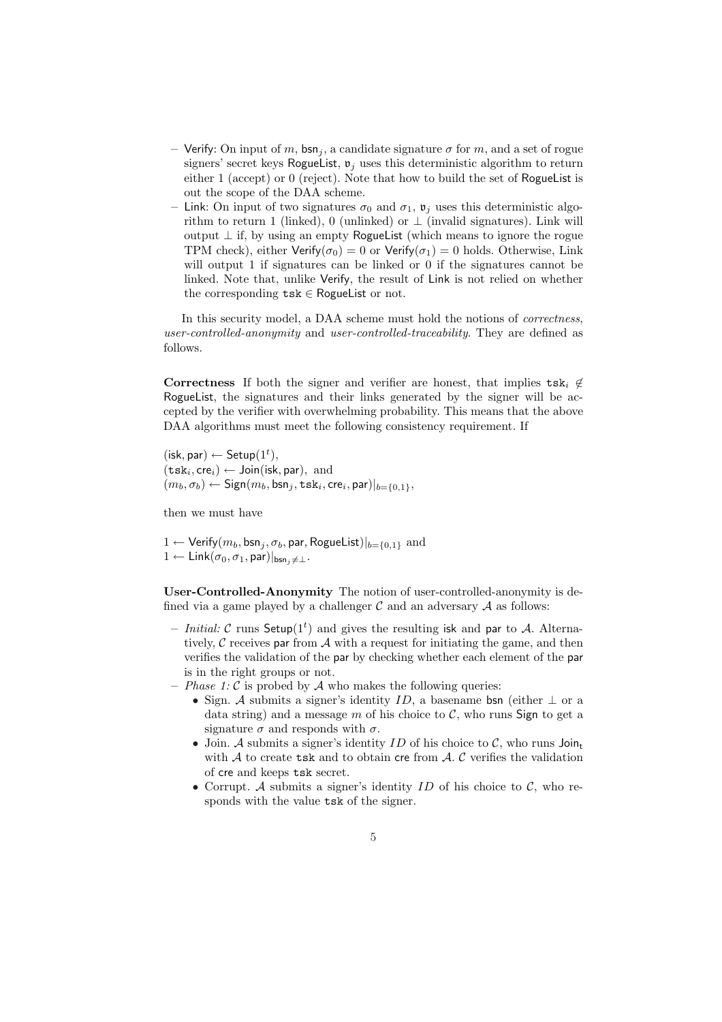- Verify: On input of m, bsn<sub>j</sub>, a candidate signature  $\sigma$  for m, and a set of rogue signers' secret keys RogueList,  $v_i$  uses this deterministic algorithm to return either 1 (accept) or 0 (reject). Note that how to build the set of RogueList is out the scope of the DAA scheme.
- Link: On input of two signatures  $\sigma_0$  and  $\sigma_1$ ,  $\mathfrak{v}_i$  uses this deterministic algorithm to return 1 (linked), 0 (unlinked) or  $\perp$  (invalid signatures). Link will output ⊥ if, by using an empty RogueList (which means to ignore the rogue TPM check), either Verify( $\sigma_0$ ) = 0 or Verify( $\sigma_1$ ) = 0 holds. Otherwise, Link will output 1 if signatures can be linked or 0 if the signatures cannot be linked. Note that, unlike Verify, the result of Link is not relied on whether the corresponding  $\text{tsk} \in \text{Roguelist}$  or not.

In this security model, a DAA scheme must hold the notions of correctness, user-controlled-anonymity and user-controlled-traceability. They are defined as follows.

Correctness If both the signer and verifier are honest, that implies tsk<sub>i</sub>  $\notin$ RogueList, the signatures and their links generated by the signer will be accepted by the verifier with overwhelming probability. This means that the above DAA algorithms must meet the following consistency requirement. If

 $(isk, par) \leftarrow Setup(1<sup>t</sup>),$  $(\texttt{tsk}_i, \texttt{cre}_i) \leftarrow \textsf{Join}(\textsf{isk}, \textsf{par}), \text{ and}$  $(m_b, \sigma_b) \leftarrow \mathsf{Sign}(m_b, \mathsf{bsn}_j, \mathsf{tsk}_i, \mathsf{cre}_i, \mathsf{par})|_{b=\{0,1\}},$ 

then we must have

 $1 \leftarrow$  Verify $(m_b, \text{bsn}_j, \sigma_b, \text{par}, \text{Roguelist})|_{b=\{0,1\}}$  and  $1 \leftarrow \textsf{Link}(\sigma_0, \sigma_1, \textsf{par})|_{\textsf{bsn}_j \neq \perp}.$ 

User-Controlled-Anonymity The notion of user-controlled-anonymity is defined via a game played by a challenger  $\mathcal C$  and an adversary  $\mathcal A$  as follows:

- Initial: C runs Setup( $1<sup>t</sup>$ ) and gives the resulting isk and par to A. Alternatively,  $C$  receives par from  $A$  with a request for initiating the game, and then verifies the validation of the par by checking whether each element of the par is in the right groups or not.
- Phase 1:  $\mathcal C$  is probed by  $\mathcal A$  who makes the following queries:
	- Sign. A submits a signer's identity ID, a basename bsn (either  $\perp$  or a data string) and a message m of his choice to  $\mathcal{C}$ , who runs Sign to get a signature  $\sigma$  and responds with  $\sigma$ .
	- Join. A submits a signer's identity ID of his choice to C, who runs  $Join_t$ with  $A$  to create tsk and to obtain cre from  $A$ .  $C$  verifies the validation of cre and keeps tsk secret.
	- Corrupt. A submits a signer's identity ID of his choice to  $\mathcal{C}$ , who responds with the value tsk of the signer.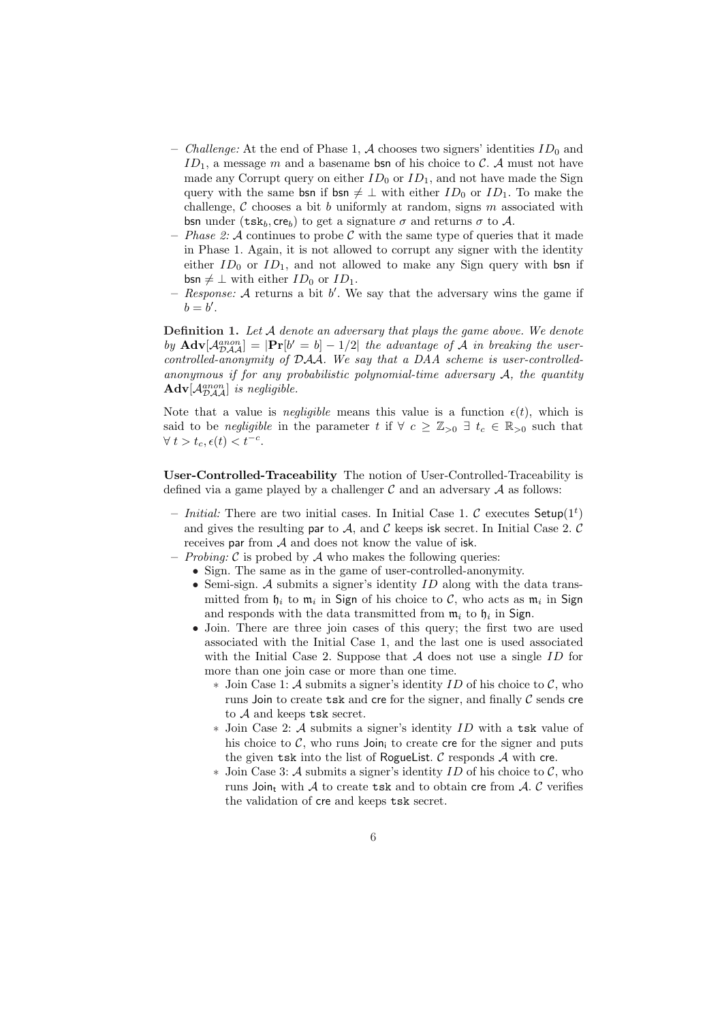- *Challenge:* At the end of Phase 1, A chooses two signers' identities  $ID_0$  and  $ID_1$ , a message m and a basename bsn of his choice to C. A must not have made any Corrupt query on either  $ID_0$  or  $ID_1$ , and not have made the Sign query with the same bsn if bsn  $\neq \perp$  with either  $ID_0$  or  $ID_1$ . To make the challenge, C chooses a bit b uniformly at random, signs  $m$  associated with bsn under (tsk<sub>b</sub>, cre<sub>b</sub>) to get a signature  $\sigma$  and returns  $\sigma$  to A.
- Phase 2: A continues to probe C with the same type of queries that it made in Phase 1. Again, it is not allowed to corrupt any signer with the identity either  $ID_0$  or  $ID_1$ , and not allowed to make any Sign query with bsn if bsn  $\neq \perp$  with either  $ID_0$  or  $ID_1$ .
- $-$  Response:  $A$  returns a bit  $b'$ . We say that the adversary wins the game if  $b=b'.$

**Definition 1.** Let  $A$  denote an adversary that plays the game above. We denote by  $\mathbf{Adv}[\mathcal{A}_{\mathcal{D}\mathcal{A}\mathcal{A}}^{anon}] = |\mathbf{Pr}[b' = b] - 1/2|$  the advantage of A in breaking the usercontrolled-anonymity of DAA. We say that a DAA scheme is user-controlledanonymous if for any probabilistic polynomial-time adversary  $A$ , the quantity  $\mathbf{Adv}[\mathcal{A}_{\mathcal{D}\mathcal{A}\mathcal{A}}^{anon}]$  is negligible.

Note that a value is *negligible* means this value is a function  $\epsilon(t)$ , which is said to be negligible in the parameter t if  $\forall c \geq \mathbb{Z}_{>0} \exists t_c \in \mathbb{R}_{>0}$  such that  $\forall t > t_c, \epsilon(t) < t^{-c}.$ 

User-Controlled-Traceability The notion of User-Controlled-Traceability is defined via a game played by a challenger  $\mathcal C$  and an adversary  $\mathcal A$  as follows:

- Initial: There are two initial cases. In Initial Case 1. C executes  $\mathsf{Setup}(1^t)$ and gives the resulting par to A, and C keeps is k secret. In Initial Case 2. C receives par from A and does not know the value of isk.
- Probing:  $\mathcal C$  is probed by  $\mathcal A$  who makes the following queries:
	- Sign. The same as in the game of user-controlled-anonymity.
	- Semi-sign. A submits a signer's identity ID along with the data transmitted from  $\mathfrak{h}_i$  to  $\mathfrak{m}_i$  in Sign of his choice to  $\mathcal{C}$ , who acts as  $\mathfrak{m}_i$  in Sign and responds with the data transmitted from  $\mathfrak{m}_i$  to  $\mathfrak{h}_i$  in Sign.
	- Join. There are three join cases of this query; the first two are used associated with the Initial Case 1, and the last one is used associated with the Initial Case 2. Suppose that  $A$  does not use a single  $ID$  for more than one join case or more than one time.
		- ∗ Join Case 1: A submits a signer's identity ID of his choice to C, who runs Join to create tsk and cre for the signer, and finally  $\mathcal C$  sends cre to A and keeps tsk secret.
		- ∗ Join Case 2: A submits a signer's identity ID with a tsk value of his choice to  $\mathcal{C}$ , who runs **Join**; to create cre for the signer and puts the given tsk into the list of RogueList.  $C$  responds  $A$  with cre.
		- ∗ Join Case 3: A submits a signer's identity ID of his choice to C, who runs Join<sub>t</sub> with A to create tsk and to obtain cre from A. C verifies the validation of cre and keeps tsk secret.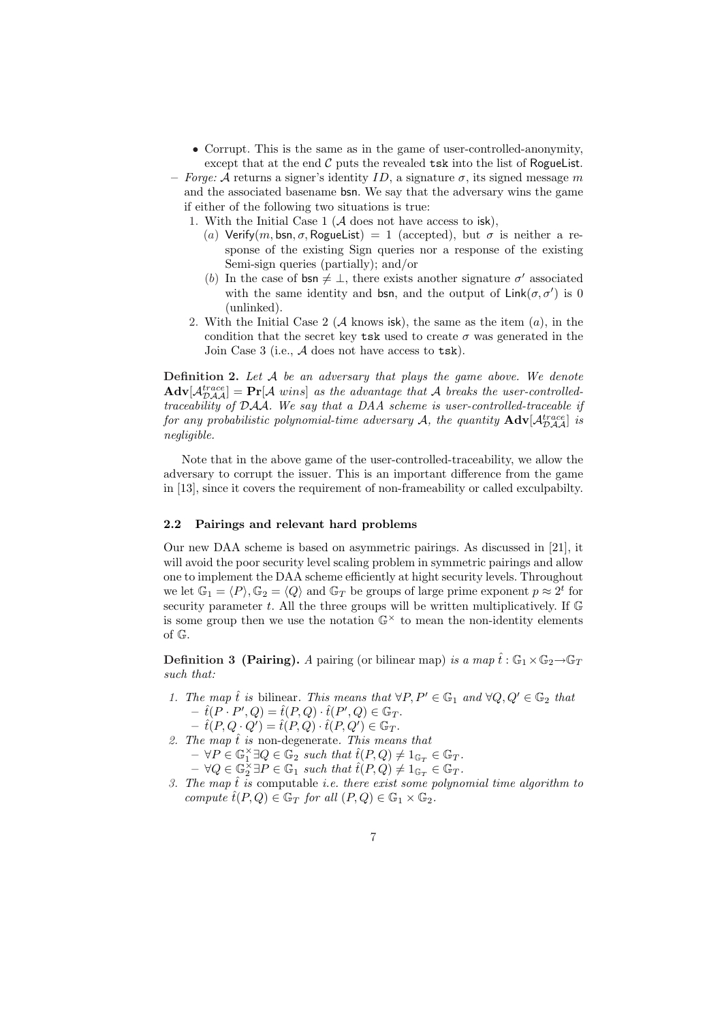- Corrupt. This is the same as in the game of user-controlled-anonymity, except that at the end  $\mathcal C$  puts the revealed tsk into the list of RogueList.
- Forge: A returns a signer's identity ID, a signature  $\sigma$ , its signed message m and the associated basename bsn. We say that the adversary wins the game if either of the following two situations is true:
	- 1. With the Initial Case  $1 \ (\mathcal{A}$  does not have access to isk),
		- (a) Verify $(m, bsn, \sigma, R$ ogueList) = 1 (accepted), but  $\sigma$  is neither a response of the existing Sign queries nor a response of the existing Semi-sign queries (partially); and/or
		- (b) In the case of  $bsn \neq \perp$ , there exists another signature  $\sigma'$  associated with the same identity and bsn, and the output of  $\text{Link}(\sigma, \sigma')$  is 0 (unlinked).
	- 2. With the Initial Case 2 ( $A$  knows isk), the same as the item  $(a)$ , in the condition that the secret key tsk used to create  $\sigma$  was generated in the Join Case 3 (i.e., A does not have access to tsk).

**Definition 2.** Let  $A$  be an adversary that plays the game above. We denote  $\mathbf{Adv}[\mathcal{A}_{\mathcal{D}\mathcal{A}\mathcal{A}}^{trace}] = \mathbf{Pr}[\mathcal{A} \text{ wins}]$  as the advantage that  $\mathcal{A}$  breaks the user-controlledtraceability of DAA. We say that a DAA scheme is user-controlled-traceable if for any probabilistic polynomial-time adversary  $A$ , the quantity  $\mathbf{Adv}[\mathcal{A}_{\mathcal{D}AA}^{trace}]$  is negligible.

Note that in the above game of the user-controlled-traceability, we allow the adversary to corrupt the issuer. This is an important difference from the game in [13], since it covers the requirement of non-frameability or called exculpabilty.

#### 2.2 Pairings and relevant hard problems

Our new DAA scheme is based on asymmetric pairings. As discussed in [21], it will avoid the poor security level scaling problem in symmetric pairings and allow one to implement the DAA scheme efficiently at hight security levels. Throughout we let  $\mathbb{G}_1 = \langle P \rangle$ ,  $\mathbb{G}_2 = \langle Q \rangle$  and  $\mathbb{G}_T$  be groups of large prime exponent  $p \approx 2^t$  for security parameter  $t$ . All the three groups will be written multiplicatively. If  $\mathbb G$ is some group then we use the notation  $\mathbb{G}^{\times}$  to mean the non-identity elements of G.

**Definition 3 (Pairing).** A pairing (or bilinear map) is a map  $\hat{t}$ :  $\mathbb{G}_1 \times \mathbb{G}_2 \rightarrow \mathbb{G}_T$ such that:

- 1. The map  $\hat{t}$  is bilinear. This means that  $\forall P, P' \in \mathbb{G}_1$  and  $\forall Q, Q' \in \mathbb{G}_2$  that  $- \hat{t}(P \cdot P', Q) = \hat{t}(P, Q) \cdot \hat{t}(P', Q) \in \mathbb{G}_T.$  $- \hat{t}(P,Q\cdot Q') = \hat{t}(P,Q) \cdot \hat{t}(P,Q') \in \mathbb{G}_T.$
- 2. The map  $\hat{t}$  is non-degenerate. This means that  $- \forall P \in \mathbb{G}_1^{\times} \exists Q \in \mathbb{G}_2 \text{ such that } \hat{t}(P,Q) \neq 1_{\mathbb{G}_T} \in \mathbb{G}_T.$  $- \forall Q \in \mathbb{G}_2^{\times} \exists P \in \mathbb{G}_1 \text{ such that } \hat{t}(P,Q) \neq 1_{\mathbb{G}_T} \in \mathbb{G}_T.$
- 3. The map  $\hat{t}$  is computable *i.e.* there exist some polynomial time algorithm to compute  $\hat{t}(P,Q) \in \mathbb{G}_T$  for all  $(P,Q) \in \mathbb{G}_1 \times \mathbb{G}_2$ .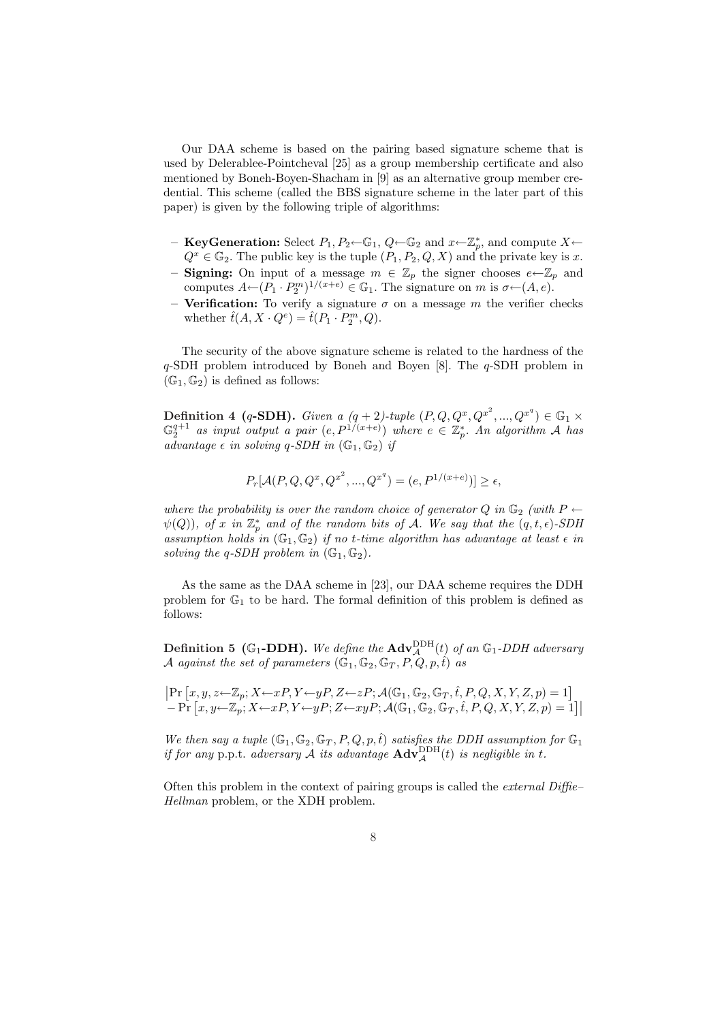Our DAA scheme is based on the pairing based signature scheme that is used by Delerablee-Pointcheval [25] as a group membership certificate and also mentioned by Boneh-Boyen-Shacham in [9] as an alternative group member credential. This scheme (called the BBS signature scheme in the later part of this paper) is given by the following triple of algorithms:

- **Example EXET** Exercrise R<sub>1</sub>,  $P_2 \leftarrow \mathbb{G}_1$ ,  $Q \leftarrow \mathbb{G}_2$  and  $x \leftarrow \mathbb{Z}_p^*$ , and compute X $\leftarrow$  $Q^x \in \mathbb{G}_2$ . The public key is the tuple  $(P_1, P_2, Q, X)$  and the private key is x.
- **Signing:** On input of a message  $m \in \mathbb{Z}_p$  the signer chooses  $e \leftarrow \mathbb{Z}_p$  and computes  $A \leftarrow (P_1 \cdot P_2^m)^{1/(x+e)} \in \mathbb{G}_1$ . The signature on m is  $\sigma \leftarrow (A, e)$ .
- Verification: To verify a signature  $\sigma$  on a message m the verifier checks whether  $\hat{t}(A, X \cdot Q^e) = \hat{t}(P_1 \cdot P_2^m, Q)$ .

The security of the above signature scheme is related to the hardness of the  $q$ -SDH problem introduced by Boneh and Boyen [8]. The  $q$ -SDH problem in  $(\mathbb{G}_1, \mathbb{G}_2)$  is defined as follows:

Definition 4 (q-SDH). Given a  $(q+2)$ -tuple  $(P,Q,Q^x,Q^{x^2},...,Q^{x^q}) \in \mathbb{G}_1 \times$  $\mathbb{G}_{2}^{q+1}$  as input output a pair  $(e, P^{1/(x+e)})$  where  $e \in \mathbb{Z}_{p}^{*}$ . An algorithm A has advantage  $\epsilon$  in solving q-SDH in  $(\mathbb{G}_1, \mathbb{G}_2)$  if

$$
P_r[\mathcal{A}(P,Q,Q^x,Q^{x^2},...,Q^{x^q}) = (e,P^{1/(x+e)})] \ge \epsilon,
$$

where the probability is over the random choice of generator Q in  $\mathbb{G}_2$  (with  $P \leftarrow$  $\psi(Q)$ , of x in  $\mathbb{Z}_p^*$  and of the random bits of A. We say that the  $(q, t, \epsilon)$ -SDH assumption holds in  $(\mathbb{G}_1, \mathbb{G}_2)$  if no t-time algorithm has advantage at least  $\epsilon$  in solving the q-SDH problem in  $(\mathbb{G}_1, \mathbb{G}_2)$ .

As the same as the DAA scheme in [23], our DAA scheme requires the DDH problem for  $\mathbb{G}_1$  to be hard. The formal definition of this problem is defined as follows:

**Definition 5** (G<sub>1</sub>-DDH). We define the  $\mathbf{Adv}_{\mathcal{A}}^{\mathrm{DDH}}(t)$  of an G<sub>1</sub>-DDH adversary A against the set of parameters  $(\mathbb{G}_1, \mathbb{G}_2, \mathbb{G}_T, P, Q, p, t)$  as

$$
|\Pr[x,y,z \leftarrow \mathbb{Z}_p; X \leftarrow xP, Y \leftarrow yP, Z \leftarrow zP; \mathcal{A}(\mathbb{G}_1, \mathbb{G}_2, \mathbb{G}_T, \hat{t}, P, Q, X, Y, Z, p) = 1] - \Pr[x,y \leftarrow \mathbb{Z}_p; X \leftarrow xP, Y \leftarrow yP; Z \leftarrow xyP; \mathcal{A}(\mathbb{G}_1, \mathbb{G}_2, \mathbb{G}_T, \hat{t}, P, Q, X, Y, Z, p) = 1] |
$$

We then say a tuple  $(\mathbb{G}_1, \mathbb{G}_2, \mathbb{G}_T, P, Q, p, \hat{t})$  satisfies the DDH assumption for  $\mathbb{G}_1$ if for any p.p.t. adversary A its advantage  $\mathbf{Adv}_{\mathcal{A}}^{\mathrm{DDH}}(t)$  is negligible in t.

Often this problem in the context of pairing groups is called the *external Diffie–* Hellman problem, or the XDH problem.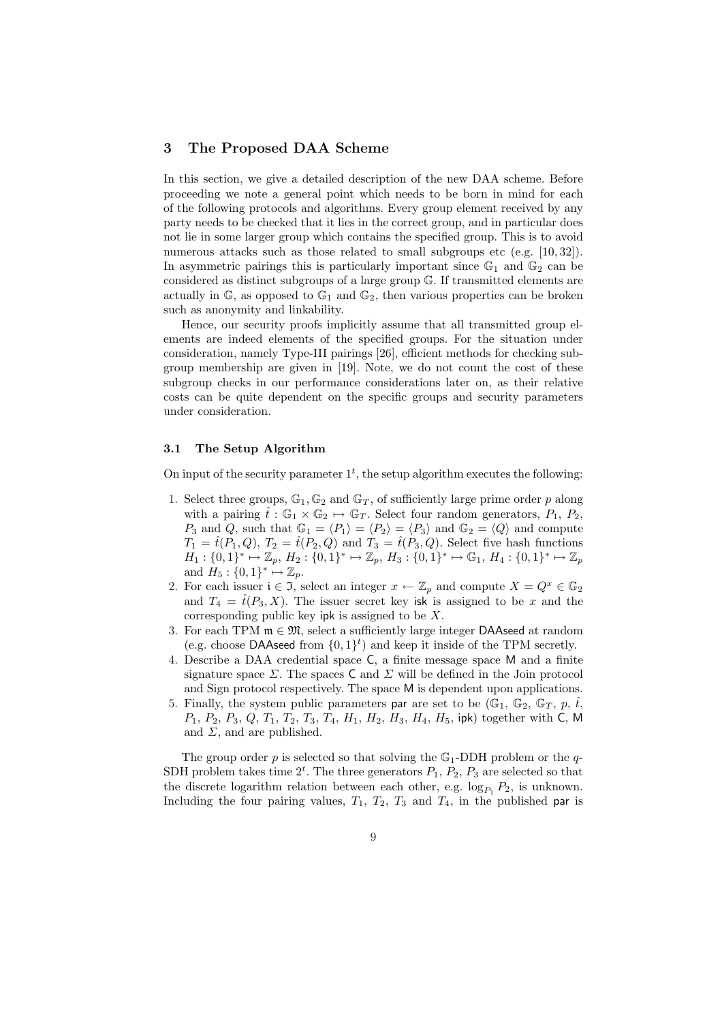# 3 The Proposed DAA Scheme

In this section, we give a detailed description of the new DAA scheme. Before proceeding we note a general point which needs to be born in mind for each of the following protocols and algorithms. Every group element received by any party needs to be checked that it lies in the correct group, and in particular does not lie in some larger group which contains the specified group. This is to avoid numerous attacks such as those related to small subgroups etc (e.g. [10, 32]). In asymmetric pairings this is particularly important since  $\mathbb{G}_1$  and  $\mathbb{G}_2$  can be considered as distinct subgroups of a large group G. If transmitted elements are actually in  $\mathbb{G}$ , as opposed to  $\mathbb{G}_1$  and  $\mathbb{G}_2$ , then various properties can be broken such as anonymity and linkability.

Hence, our security proofs implicitly assume that all transmitted group elements are indeed elements of the specified groups. For the situation under consideration, namely Type-III pairings [26], efficient methods for checking subgroup membership are given in [19]. Note, we do not count the cost of these subgroup checks in our performance considerations later on, as their relative costs can be quite dependent on the specific groups and security parameters under consideration.

### 3.1 The Setup Algorithm

On input of the security parameter  $1<sup>t</sup>$ , the setup algorithm executes the following:

- 1. Select three groups,  $\mathbb{G}_1, \mathbb{G}_2$  and  $\mathbb{G}_T$ , of sufficiently large prime order p along with a pairing  $\hat{t}: \mathbb{G}_1 \times \mathbb{G}_2 \mapsto \mathbb{G}_T$ . Select four random generators,  $P_1, P_2$ ,  $P_3$  and Q, such that  $\mathbb{G}_1 = \langle P_1 \rangle = \langle P_2 \rangle = \langle P_3 \rangle$  and  $\mathbb{G}_2 = \langle Q \rangle$  and compute  $T_1 = \hat{t}(P_1, Q), T_2 = \hat{t}(P_2, Q)$  and  $T_3 = \hat{t}(P_3, Q)$ . Select five hash functions  $H_1: \{0,1\}^* \mapsto \mathbb{Z}_p, H_2: \{0,1\}^* \mapsto \mathbb{Z}_p, H_3: \{0,1\}^* \mapsto \mathbb{G}_1, H_4: \{0,1\}^* \mapsto \mathbb{Z}_p$ and  $H_5: \{0,1\}^* \mapsto \mathbb{Z}_p$ .
- 2. For each issuer  $i \in \mathfrak{I}$ , select an integer  $x \leftarrow \mathbb{Z}_p$  and compute  $X = Q^x \in \mathbb{G}_2$ and  $T_4 = \hat{t}(P_3, X)$ . The issuer secret key isk is assigned to be x and the corresponding public key  $ipk$  is assigned to be X.
- 3. For each TPM  $m \in \mathfrak{M}$ , select a sufficiently large integer **DAAseed** at random (e.g. choose DAAseed from  $\{0,1\}^t$ ) and keep it inside of the TPM secretly.
- 4. Describe a DAA credential space C, a finite message space M and a finite signature space  $\Sigma$ . The spaces C and  $\Sigma$  will be defined in the Join protocol and Sign protocol respectively. The space M is dependent upon applications.
- 5. Finally, the system public parameters par are set to be  $(\mathbb{G}_1, \mathbb{G}_2, \mathbb{G}_T, p, \hat{t})$ ,  $P_1, P_2, P_3, Q, T_1, T_2, T_3, T_4, H_1, H_2, H_3, H_4, H_5$ , ipk) together with C, M and  $\Sigma$ , and are published.

The group order p is selected so that solving the  $\mathbb{G}_1$ -DDH problem or the q-SDH problem takes time  $2^t$ . The three generators  $P_1$ ,  $P_2$ ,  $P_3$  are selected so that the discrete logarithm relation between each other, e.g.  $\log_{P_1} P_2$ , is unknown. Including the four pairing values,  $T_1$ ,  $T_2$ ,  $T_3$  and  $T_4$ , in the published par is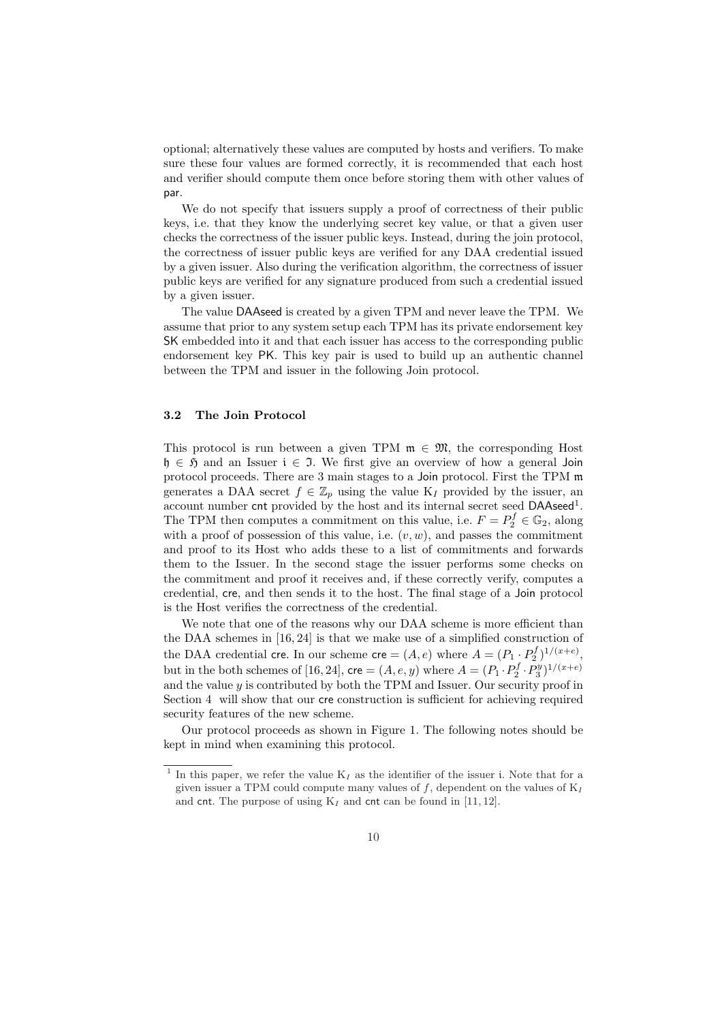optional; alternatively these values are computed by hosts and verifiers. To make sure these four values are formed correctly, it is recommended that each host and verifier should compute them once before storing them with other values of par.

We do not specify that issuers supply a proof of correctness of their public keys, i.e. that they know the underlying secret key value, or that a given user checks the correctness of the issuer public keys. Instead, during the join protocol, the correctness of issuer public keys are verified for any DAA credential issued by a given issuer. Also during the verification algorithm, the correctness of issuer public keys are verified for any signature produced from such a credential issued by a given issuer.

The value DAAseed is created by a given TPM and never leave the TPM. We assume that prior to any system setup each TPM has its private endorsement key SK embedded into it and that each issuer has access to the corresponding public endorsement key PK. This key pair is used to build up an authentic channel between the TPM and issuer in the following Join protocol.

#### 3.2 The Join Protocol

This protocol is run between a given TPM  $\mathfrak{m} \in \mathfrak{M}$ , the corresponding Host  $\mathfrak{h} \in \mathfrak{H}$  and an Issuer  $\mathfrak{i} \in \mathfrak{I}$ . We first give an overview of how a general Join protocol proceeds. There are 3 main stages to a Join protocol. First the TPM m generates a DAA secret  $f \in \mathbb{Z}_p$  using the value  $K_I$  provided by the issuer, an account number cnt provided by the host and its internal secret seed DAAseed<sup>1</sup>. The TPM then computes a commitment on this value, i.e.  $F = P_2^f \in \mathbb{G}_2$ , along with a proof of possession of this value, i.e.  $(v, w)$ , and passes the commitment and proof to its Host who adds these to a list of commitments and forwards them to the Issuer. In the second stage the issuer performs some checks on the commitment and proof it receives and, if these correctly verify, computes a credential, cre, and then sends it to the host. The final stage of a Join protocol is the Host verifies the correctness of the credential.

We note that one of the reasons why our DAA scheme is more efficient than the DAA schemes in [16, 24] is that we make use of a simplified construction of the DAA credential cre. In our scheme cre =  $(A, e)$  where  $A = (P_1 \cdot P_2^f)^{1/(x+e)}$ , but in the both schemes of [16, 24],  $\mathsf{cre} = (A, e, y)$  where  $A = (P_1 \cdot P_2^f \cdot P_3^y)^{1/(x+e)}$ and the value  $y$  is contributed by both the TPM and Issuer. Our security proof in Section 4 will show that our cre construction is sufficient for achieving required security features of the new scheme.

Our protocol proceeds as shown in Figure 1. The following notes should be kept in mind when examining this protocol.

<sup>&</sup>lt;sup>1</sup> In this paper, we refer the value  $K_I$  as the identifier of the issuer i. Note that for a given issuer a TPM could compute many values of  $f$ , dependent on the values of  $K_I$ and cnt. The purpose of using  $K_I$  and cnt can be found in [11, 12].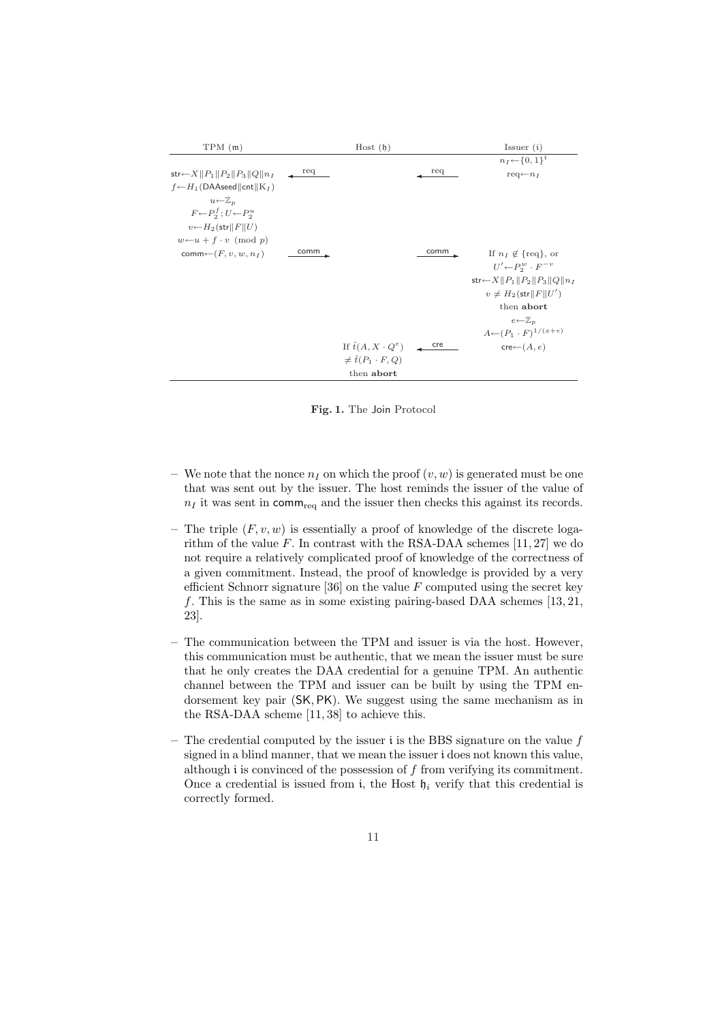| TPM(m)                                                                              |      | Host $(h)$                       |               | Issuer(i)                                           |
|-------------------------------------------------------------------------------------|------|----------------------------------|---------------|-----------------------------------------------------|
|                                                                                     |      |                                  |               | $n_I \leftarrow \{0,1\}^t$                          |
| $str \leftarrow X    P_1    P_2    P_3    Q    n_I$                                 | req  |                                  | $_{\rm{req}}$ | $req \leftarrow n_I$                                |
| $f \leftarrow H_1(DAAseed  ent  K_I)$                                               |      |                                  |               |                                                     |
| $u \leftarrow \mathbb{Z}_n$                                                         |      |                                  |               |                                                     |
| $F \leftarrow P_2^f$ ; $U \leftarrow P_2^u$                                         |      |                                  |               |                                                     |
| $v \leftarrow H_2(\mathsf{str}    F    U)$                                          |      |                                  |               |                                                     |
| $w \leftarrow u + f \cdot v \pmod{p}$                                               |      |                                  |               |                                                     |
| comm $\leftarrow$ ( <i>F</i> , <i>v</i> , <i>w</i> , <i>n</i> <sub><i>I</i></sub> ) | comm |                                  | comm          | If $n_I \notin \{ \text{req} \}$ , or               |
|                                                                                     |      |                                  |               | $U' \leftarrow P_2^w \cdot F^{-v}$                  |
|                                                                                     |      |                                  |               | $str \leftarrow X    P_1    P_2    P_3    Q    n_I$ |
|                                                                                     |      |                                  |               | $v \neq H_2(\text{str}    F    U')$                 |
|                                                                                     |      |                                  |               | then abort                                          |
|                                                                                     |      |                                  |               | $e \leftarrow \mathbb{Z}_p$                         |
|                                                                                     |      |                                  |               | $A \leftarrow (P_1 \cdot F)^{1/(x+e)}$              |
|                                                                                     |      | If $\hat{t}(A, X \cdot Q^e)$ cre |               | $\mathsf{cre}\leftarrow(A,e)$                       |
|                                                                                     |      | $\neq \hat{t}(P_1 \cdot F, Q)$   |               |                                                     |
|                                                                                     |      | then abort                       |               |                                                     |

Fig. 1. The Join Protocol

- We note that the nonce  $n_l$  on which the proof  $(v, w)$  is generated must be one that was sent out by the issuer. The host reminds the issuer of the value of  $n_I$  it was sent in comm<sub>req</sub> and the issuer then checks this against its records.
- The triple  $(F, v, w)$  is essentially a proof of knowledge of the discrete logarithm of the value  $F$ . In contrast with the RSA-DAA schemes [11, 27] we do not require a relatively complicated proof of knowledge of the correctness of a given commitment. Instead, the proof of knowledge is provided by a very efficient Schnorr signature [36] on the value  $F$  computed using the secret key f. This is the same as in some existing pairing-based DAA schemes [13, 21, 23].
- The communication between the TPM and issuer is via the host. However, this communication must be authentic, that we mean the issuer must be sure that he only creates the DAA credential for a genuine TPM. An authentic channel between the TPM and issuer can be built by using the TPM endorsement key pair (SK, PK). We suggest using the same mechanism as in the RSA-DAA scheme [11, 38] to achieve this.
- The credential computed by the issuer  $\mathfrak i$  is the BBS signature on the value  $f$ signed in a blind manner, that we mean the issuer i does not known this value, although i is convinced of the possession of f from verifying its commitment. Once a credential is issued from i, the Host  $\mathfrak{h}_i$  verify that this credential is correctly formed.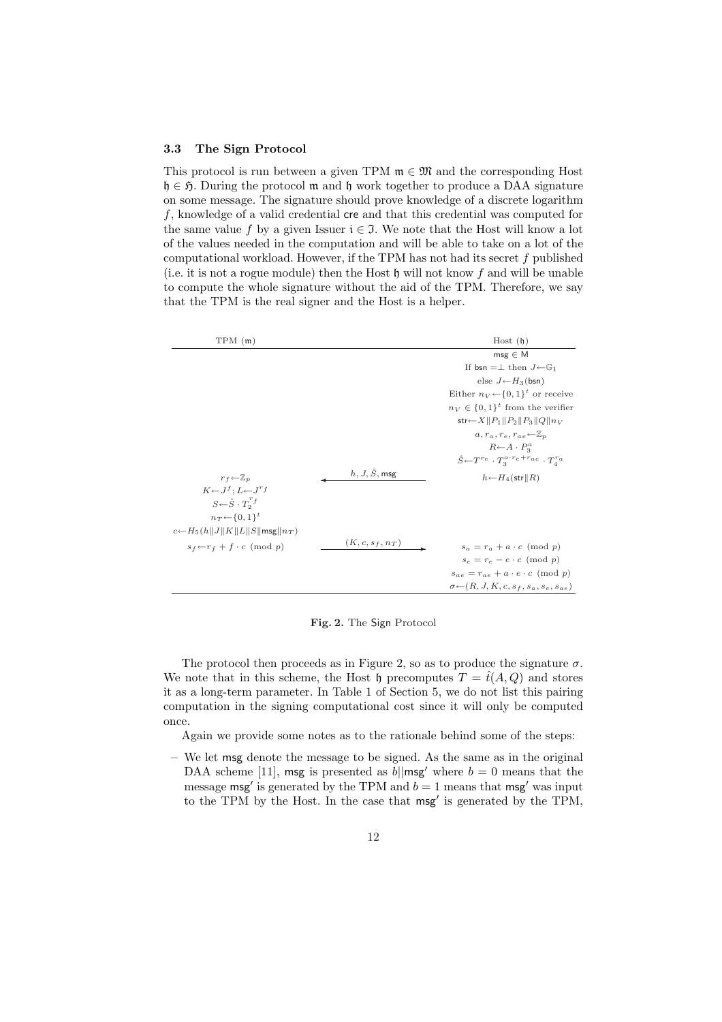#### 3.3 The Sign Protocol

This protocol is run between a given TPM  $\mathfrak{m} \in \mathfrak{M}$  and the corresponding Host  $\mathfrak{h} \in \mathfrak{H}$ . During the protocol m and  $\mathfrak{h}$  work together to produce a DAA signature on some message. The signature should prove knowledge of a discrete logarithm f, knowledge of a valid credential cre and that this credential was computed for the same value f by a given Issuer  $i \in \mathfrak{I}$ . We note that the Host will know a lot of the values needed in the computation and will be able to take on a lot of the computational workload. However, if the TPM has not had its secret  $f$  published (i.e. it is not a rogue module) then the Host  $\mathfrak h$  will not know f and will be unable to compute the whole signature without the aid of the TPM. Therefore, we say that the TPM is the real signer and the Host is a helper.

| TPM(m)                                             |                       | Host $(h)$                                                                    |
|----------------------------------------------------|-----------------------|-------------------------------------------------------------------------------|
|                                                    |                       | $msg \in M$                                                                   |
|                                                    |                       | If bsn = $\perp$ then $J \leftarrow \mathbb{G}_1$                             |
|                                                    |                       | else $J \leftarrow H_3$ (bsn)                                                 |
|                                                    |                       | Either $n_V \leftarrow \{0, 1\}^t$ or receive                                 |
|                                                    |                       | $n_V \in \{0,1\}^t$ from the verifier                                         |
|                                                    |                       | $str \leftarrow X    P_1    P_2    P_3    Q    n_V$                           |
|                                                    |                       | $a, r_a, r_e, r_{ae} \leftarrow \mathbb{Z}_p$                                 |
|                                                    |                       | $R \leftarrow A \cdot P_3^a$                                                  |
|                                                    |                       | $\hat{S} \leftarrow T^{r_e} \cdot T_3^{a \cdot r_e + r_{ae}} \cdot T_4^{r_a}$ |
| $r_f \leftarrow \mathbb{Z}_p$                      | $h, J, \hat{S}$ , msg | $h \leftarrow H_4(\text{str}  R)$                                             |
| $K \leftarrow J^f : L \leftarrow J^{rf}$           |                       |                                                                               |
| $S \leftarrow \hat{S} \cdot T_{2}^{rf}$            |                       |                                                                               |
| $n_T \leftarrow \{0,1\}^t$                         |                       |                                                                               |
| $c \leftarrow H_5(h  J  K  L  S  \text{msg}  n_T)$ |                       |                                                                               |
| $s_f \leftarrow r_f + f \cdot c \pmod{p}$          | $(K, c, s_f, n_T)$    | $s_a = r_a + a \cdot c \pmod{p}$                                              |
|                                                    |                       | $s_e = r_e - e \cdot c \pmod{p}$                                              |
|                                                    |                       | $s_{ae} = r_{ae} + a \cdot e \cdot c \pmod{p}$                                |
|                                                    |                       | $\sigma \leftarrow (R, J, K, c, s_f, s_a, s_e, s_{ae})$                       |

Fig. 2. The Sign Protocol

The protocol then proceeds as in Figure 2, so as to produce the signature  $\sigma$ . We note that in this scheme, the Host h precomputes  $T = \hat{t}(A, Q)$  and stores it as a long-term parameter. In Table 1 of Section 5, we do not list this pairing computation in the signing computational cost since it will only be computed once.

Again we provide some notes as to the rationale behind some of the steps:

– We let msg denote the message to be signed. As the same as in the original DAA scheme [11], msg is presented as  $b||\text{msg}'$  where  $b = 0$  means that the message msg' is generated by the TPM and  $b = 1$  means that msg' was input to the TPM by the Host. In the case that msg' is generated by the TPM,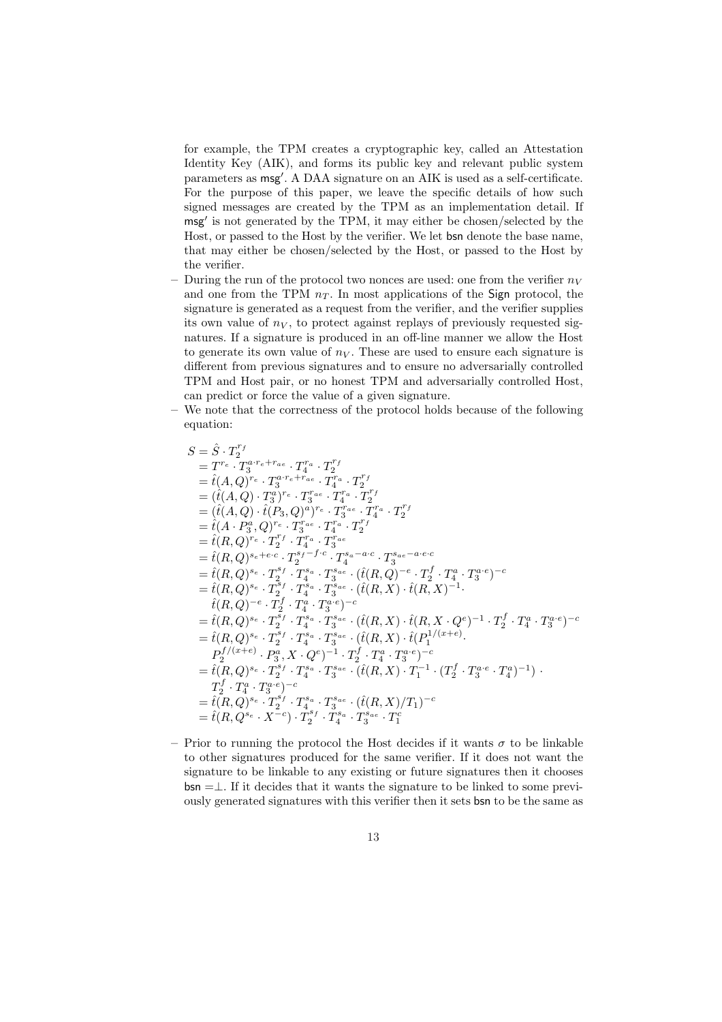for example, the TPM creates a cryptographic key, called an Attestation Identity Key (AIK), and forms its public key and relevant public system parameters as msg'. A DAA signature on an AIK is used as a self-certificate. For the purpose of this paper, we leave the specific details of how such signed messages are created by the TPM as an implementation detail. If msg' is not generated by the TPM, it may either be chosen/selected by the Host, or passed to the Host by the verifier. We let bsn denote the base name, that may either be chosen/selected by the Host, or passed to the Host by the verifier.

- During the run of the protocol two nonces are used: one from the verifier  $n_V$ and one from the TPM  $n<sub>T</sub>$ . In most applications of the Sign protocol, the signature is generated as a request from the verifier, and the verifier supplies its own value of  $n_V$ , to protect against replays of previously requested signatures. If a signature is produced in an off-line manner we allow the Host to generate its own value of  $n<sub>V</sub>$ . These are used to ensure each signature is different from previous signatures and to ensure no adversarially controlled TPM and Host pair, or no honest TPM and adversarially controlled Host, can predict or force the value of a given signature.
- We note that the correctness of the protocol holds because of the following equation:

$$
\begin{array}{l} S = \hat{S} \cdot T_{2}^{r_{f}} \\ = T^{r_{e}} \cdot T_{3}^{a \cdot r_{e} + r_{ae}} \cdot T_{4}^{r_{a}} \cdot T_{2}^{r_{f}} \\ = \hat{t}(A,Q)^{r_{e}} \cdot T_{3}^{a \cdot r_{e} + r_{ae}} \cdot T_{4}^{r_{a}} \cdot T_{2}^{r_{f}} \\ = (\hat{t}(A,Q) \cdot \hat{t}(P_{3},Q)^{a})^{r_{e}} \cdot T_{3}^{r_{ae}} \cdot T_{4}^{r_{a}} \cdot T_{2}^{r_{f}} \\ = (\hat{t}(A,Q) \cdot \hat{t}(P_{3},Q)^{a})^{r_{e}} \cdot T_{3}^{r_{ae}} \cdot T_{4}^{r_{a}} \cdot T_{2}^{r_{f}} \\ = \hat{t}(A \cdot P_{3}^{a},Q)^{r_{e}} \cdot T_{3}^{r_{ae}} \cdot T_{4}^{r_{a}} \cdot T_{2}^{r_{f}} \\ = \hat{t}(R,Q)^{r_{e}} \cdot T_{2}^{r_{f}} \cdot T_{4}^{r_{a}} \cdot T_{3}^{r_{ae}} \\ = \hat{t}(R,Q)^{s_{e} + e c} \cdot T_{2}^{s_{f} - f c} \cdot T_{4}^{s_{a} - a c} \cdot T_{3}^{s_{ae} - a e c} \\ = \hat{t}(R,Q)^{s_{e}} \cdot T_{2}^{s_{f}} \cdot T_{4}^{s_{a}} \cdot T_{3}^{s_{ae}} \cdot (\hat{t}(R,Q)^{-e} \cdot T_{2}^{f} \cdot T_{4}^{a} \cdot T_{3}^{a e})^{-c} \\ = \hat{t}(R,Q)^{s_{e}} \cdot T_{2}^{s_{f}} \cdot T_{4}^{s_{a}} \cdot T_{3}^{s_{ae}} \cdot (\hat{t}(R,X) \cdot \hat{t}(R,X)^{-1} \cdot \\ \hat{t}(R,Q)^{-e} \cdot T_{2}^{f} \cdot T_{4}^{a} \cdot T_{3}^{s_{ae}} \cdot (\hat{t}(R,X) \cdot \hat{t}(R,X)^{-1} \cdot T_{2}^{f} \cdot T_{4}^{a} \cdot T_{3}^{a e})^{-c} \\ = \hat{t}(R,Q)^{s_{e}} \cdot T_{2}^{s_{f}} \cdot T_{4}^{s_{a}} \cdot T_{3}^{s_{ae}} \cdot (\hat{t}(R,X) \cdot \hat{t}(R,X,Q^{e})^{-
$$

– Prior to running the protocol the Host decides if it wants  $\sigma$  to be linkable to other signatures produced for the same verifier. If it does not want the signature to be linkable to any existing or future signatures then it chooses  $bsn = \perp$ . If it decides that it wants the signature to be linked to some previously generated signatures with this verifier then it sets bsn to be the same as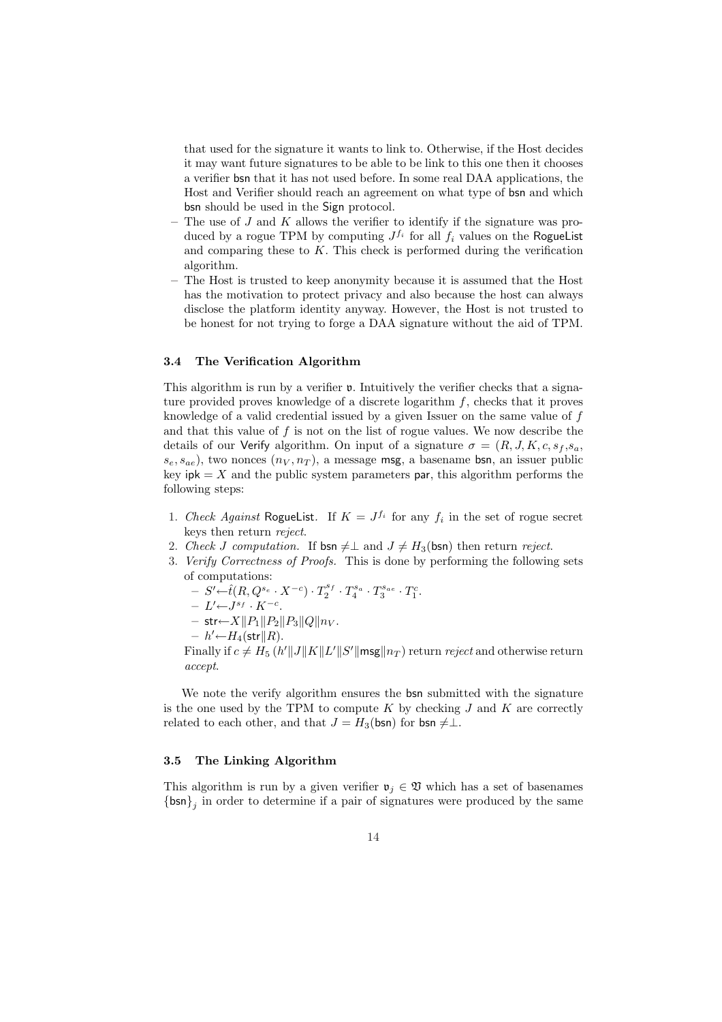that used for the signature it wants to link to. Otherwise, if the Host decides it may want future signatures to be able to be link to this one then it chooses a verifier bsn that it has not used before. In some real DAA applications, the Host and Verifier should reach an agreement on what type of bsn and which bsn should be used in the Sign protocol.

- The use of  $J$  and  $K$  allows the verifier to identify if the signature was produced by a rogue TPM by computing  $J^{f_i}$  for all  $f_i$  values on the RogueList and comparing these to  $K$ . This check is performed during the verification algorithm.
- The Host is trusted to keep anonymity because it is assumed that the Host has the motivation to protect privacy and also because the host can always disclose the platform identity anyway. However, the Host is not trusted to be honest for not trying to forge a DAA signature without the aid of TPM.

#### 3.4 The Verification Algorithm

This algorithm is run by a verifier **v**. Intuitively the verifier checks that a signature provided proves knowledge of a discrete logarithm  $f$ , checks that it proves knowledge of a valid credential issued by a given Issuer on the same value of  $f$ and that this value of  $f$  is not on the list of rogue values. We now describe the details of our Verify algorithm. On input of a signature  $\sigma = (R, J, K, c, s_f, s_g)$  $s_e, s_{ae}$ , two nonces  $(n_V, n_T)$ , a message msg, a basename bsn, an issuer public key  $ipk = X$  and the public system parameters par, this algorithm performs the following steps:

- 1. Check Against RogueList. If  $K = J^{f_i}$  for any  $f_i$  in the set of rogue secret keys then return reject.
- 2. Check J computation. If  $bsn \neq \perp$  and  $J \neq H_3(bsn)$  then return reject.
- 3. Verify Correctness of Proofs. This is done by performing the following sets of computations:

$$
-S' \leftarrow \hat{t}(R,Q^{s_e} \cdot X^{-c}) \cdot T_2^{s_f} \cdot T_4^{s_a} \cdot T_3^{s_{ae}} \cdot T_1^c.
$$

$$
- L' \leftarrow J^{s_f} \cdot K^{-c}.
$$

- $-$  str $\leftarrow$ X $\|P_1\|P_2\|P_3\|Q\|n_V$ .
- $h' \leftarrow H_4(\mathsf{str} || R).$

Finally if  $c \neq H_5$   $(h' \| J \| K \| L' \| S' \| \text{msg} \| n_T)$  return *reject* and otherwise return accept.

We note the verify algorithm ensures the bsn submitted with the signature is the one used by the TPM to compute  $K$  by checking  $J$  and  $K$  are correctly related to each other, and that  $J = H_3(\mathsf{bsn})$  for  $\mathsf{bsn} \neq \perp$ .

### 3.5 The Linking Algorithm

This algorithm is run by a given verifier  $\mathfrak{v}_i \in \mathfrak{V}$  which has a set of basenames  ${\{\mathsf{bsn}\}}_j$  in order to determine if a pair of signatures were produced by the same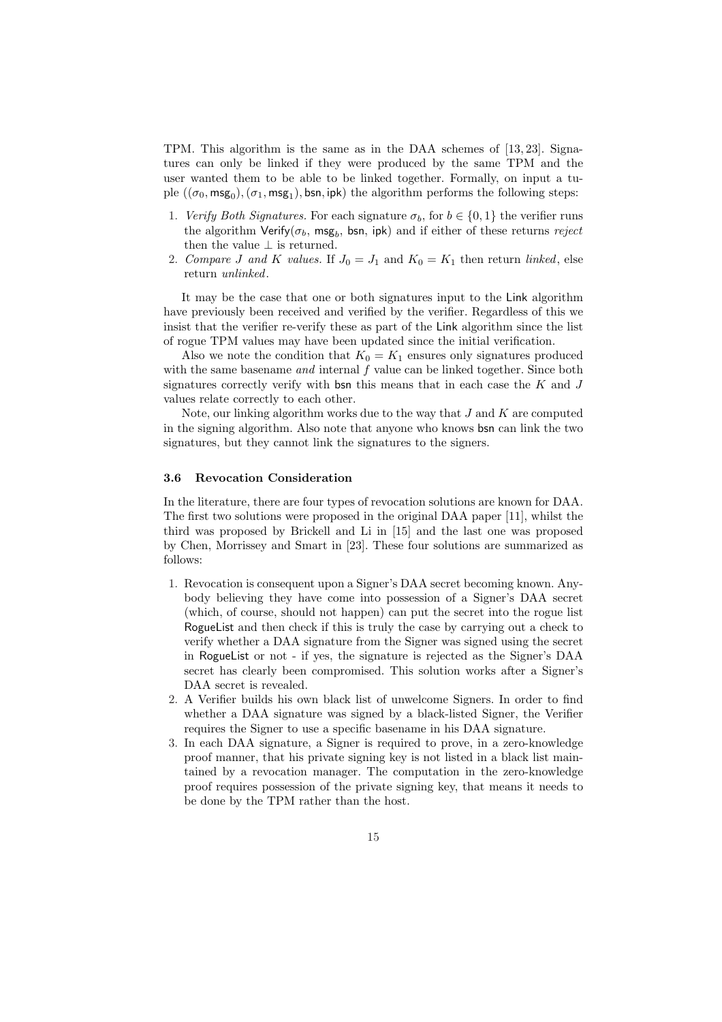TPM. This algorithm is the same as in the DAA schemes of [13, 23]. Signatures can only be linked if they were produced by the same TPM and the user wanted them to be able to be linked together. Formally, on input a tuple  $((\sigma_0, \mathsf{msg}_0), (\sigma_1, \mathsf{msg}_1), \mathsf{bsn}, \mathsf{ipk})$  the algorithm performs the following steps:

- 1. Verify Both Signatures. For each signature  $\sigma_b$ , for  $b \in \{0, 1\}$  the verifier runs the algorithm  $\mathsf{Verify}(\sigma_b, \, \mathsf{msg}_b, \, \mathsf{bsn}, \, \mathsf{ipk})$  and if either of these returns  $reject$ then the value  $\perp$  is returned.
- 2. Compare J and K values. If  $J_0 = J_1$  and  $K_0 = K_1$  then return linked, else return unlinked.

It may be the case that one or both signatures input to the Link algorithm have previously been received and verified by the verifier. Regardless of this we insist that the verifier re-verify these as part of the Link algorithm since the list of rogue TPM values may have been updated since the initial verification.

Also we note the condition that  $K_0 = K_1$  ensures only signatures produced with the same basename and internal  $f$  value can be linked together. Since both signatures correctly verify with bsn this means that in each case the  $K$  and  $J$ values relate correctly to each other.

Note, our linking algorithm works due to the way that  $J$  and  $K$  are computed in the signing algorithm. Also note that anyone who knows bsn can link the two signatures, but they cannot link the signatures to the signers.

#### 3.6 Revocation Consideration

In the literature, there are four types of revocation solutions are known for DAA. The first two solutions were proposed in the original DAA paper [11], whilst the third was proposed by Brickell and Li in [15] and the last one was proposed by Chen, Morrissey and Smart in [23]. These four solutions are summarized as follows:

- 1. Revocation is consequent upon a Signer's DAA secret becoming known. Anybody believing they have come into possession of a Signer's DAA secret (which, of course, should not happen) can put the secret into the rogue list RogueList and then check if this is truly the case by carrying out a check to verify whether a DAA signature from the Signer was signed using the secret in RogueList or not - if yes, the signature is rejected as the Signer's DAA secret has clearly been compromised. This solution works after a Signer's DAA secret is revealed.
- 2. A Verifier builds his own black list of unwelcome Signers. In order to find whether a DAA signature was signed by a black-listed Signer, the Verifier requires the Signer to use a specific basename in his DAA signature.
- 3. In each DAA signature, a Signer is required to prove, in a zero-knowledge proof manner, that his private signing key is not listed in a black list maintained by a revocation manager. The computation in the zero-knowledge proof requires possession of the private signing key, that means it needs to be done by the TPM rather than the host.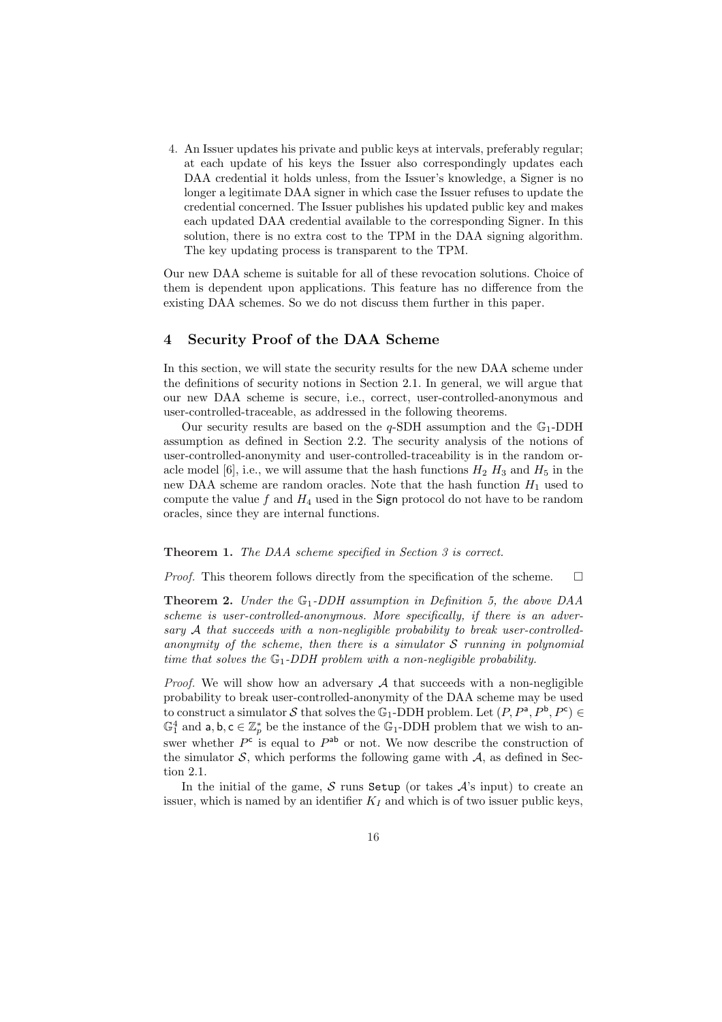4. An Issuer updates his private and public keys at intervals, preferably regular; at each update of his keys the Issuer also correspondingly updates each DAA credential it holds unless, from the Issuer's knowledge, a Signer is no longer a legitimate DAA signer in which case the Issuer refuses to update the credential concerned. The Issuer publishes his updated public key and makes each updated DAA credential available to the corresponding Signer. In this solution, there is no extra cost to the TPM in the DAA signing algorithm. The key updating process is transparent to the TPM.

Our new DAA scheme is suitable for all of these revocation solutions. Choice of them is dependent upon applications. This feature has no difference from the existing DAA schemes. So we do not discuss them further in this paper.

# 4 Security Proof of the DAA Scheme

In this section, we will state the security results for the new DAA scheme under the definitions of security notions in Section 2.1. In general, we will argue that our new DAA scheme is secure, i.e., correct, user-controlled-anonymous and user-controlled-traceable, as addressed in the following theorems.

Our security results are based on the  $q$ -SDH assumption and the  $\mathbb{G}_1$ -DDH assumption as defined in Section 2.2. The security analysis of the notions of user-controlled-anonymity and user-controlled-traceability is in the random oracle model [6], i.e., we will assume that the hash functions  $H_2$   $H_3$  and  $H_5$  in the new DAA scheme are random oracles. Note that the hash function  $H_1$  used to compute the value  $f$  and  $H_4$  used in the Sign protocol do not have to be random oracles, since they are internal functions.

Theorem 1. The DAA scheme specified in Section 3 is correct.

*Proof.* This theorem follows directly from the specification of the scheme.  $\Box$ 

**Theorem 2.** Under the  $\mathbb{G}_1$ -DDH assumption in Definition 5, the above DAA scheme is user-controlled-anonymous. More specifically, if there is an adversary A that succeeds with a non-negligible probability to break user-controlledanonymity of the scheme, then there is a simulator  $S$  running in polynomial time that solves the  $\mathbb{G}_1$ -DDH problem with a non-negligible probability.

*Proof.* We will show how an adversary  $A$  that succeeds with a non-negligible probability to break user-controlled-anonymity of the DAA scheme may be used to construct a simulator S that solves the  $\mathbb{G}_1$ -DDH problem. Let  $(P, P^a, P^b, P^c) \in$  $\mathbb{G}_1^4$  and  $a, b, c \in \mathbb{Z}_p^*$  be the instance of the  $\mathbb{G}_1$ -DDH problem that we wish to answer whether  $P^c$  is equal to  $P^{ab}$  or not. We now describe the construction of the simulator  $S$ , which performs the following game with  $A$ , as defined in Section 2.1.

In the initial of the game,  $S$  runs Setup (or takes  $A$ 's input) to create an issuer, which is named by an identifier  $K_I$  and which is of two issuer public keys,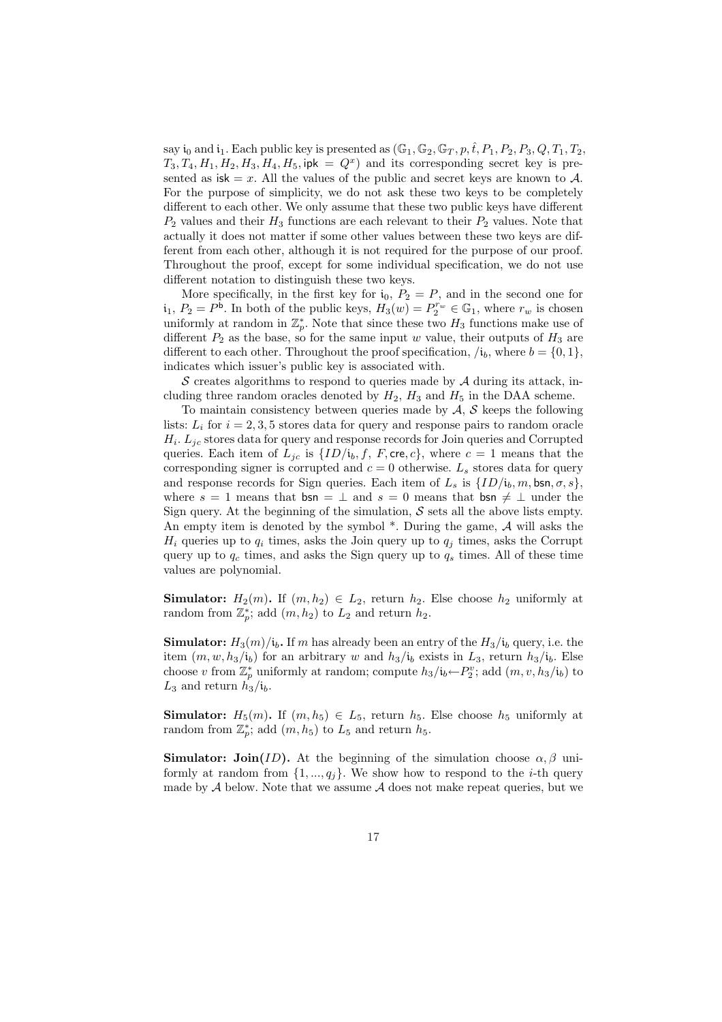say i<sub>0</sub> and i<sub>1</sub>. Each public key is presented as  $(\mathbb{G}_1, \mathbb{G}_2, \mathbb{G}_T, p, \hat{t}, P_1, P_2, P_3, Q, T_1, T_2,$  $T_3, T_4, H_1, H_2, H_3, H_4, H_5$ , ipk =  $Q<sup>x</sup>$ ) and its corresponding secret key is presented as  $isk = x$ . All the values of the public and secret keys are known to A. For the purpose of simplicity, we do not ask these two keys to be completely different to each other. We only assume that these two public keys have different  $P_2$  values and their  $H_3$  functions are each relevant to their  $P_2$  values. Note that actually it does not matter if some other values between these two keys are different from each other, although it is not required for the purpose of our proof. Throughout the proof, except for some individual specification, we do not use different notation to distinguish these two keys.

More specifically, in the first key for  $i_0$ ,  $P_2 = P$ , and in the second one for  $i_1, P_2 = P^{\overline{\mathbf{b}}}$ . In both of the public keys,  $H_3(w) = P_2^{r_w} \in \mathbb{G}_1$ , where  $r_w$  is chosen uniformly at random in  $\mathbb{Z}_p^*$ . Note that since these two  $H_3$  functions make use of different  $P_2$  as the base, so for the same input w value, their outputs of  $H_3$  are different to each other. Throughout the proof specification,  $\langle i_b,$  where  $b = \{0, 1\},$ indicates which issuer's public key is associated with.

 $S$  creates algorithms to respond to queries made by  $A$  during its attack, including three random oracles denoted by  $H_2$ ,  $H_3$  and  $H_5$  in the DAA scheme.

To maintain consistency between queries made by  $A$ ,  $S$  keeps the following lists:  $L_i$  for  $i = 2, 3, 5$  stores data for query and response pairs to random oracle  $H_i$ .  $L_{jc}$  stores data for query and response records for Join queries and Corrupted queries. Each item of  $L_{jc}$  is  $\{ID/i_b, f, F, \text{cre}, c\}$ , where  $c = 1$  means that the corresponding signer is corrupted and  $c = 0$  otherwise.  $L<sub>s</sub>$  stores data for query and response records for Sign queries. Each item of  $L_s$  is  $\{ID/i_b, m, \text{bsn}, \sigma, s\}$ , where  $s = 1$  means that  $bsn = \perp$  and  $s = 0$  means that  $bsn \neq \perp$  under the Sign query. At the beginning of the simulation,  $S$  sets all the above lists empty. An empty item is denoted by the symbol  $*$ . During the game,  $A$  will asks the  $H_i$  queries up to  $q_i$  times, asks the Join query up to  $q_i$  times, asks the Corrupt query up to  $q_c$  times, and asks the Sign query up to  $q_s$  times. All of these time values are polynomial.

**Simulator:**  $H_2(m)$ . If  $(m, h_2) \in L_2$ , return  $h_2$ . Else choose  $h_2$  uniformly at random from  $\mathbb{Z}_p^*$ ; add  $(m, h_2)$  to  $L_2$  and return  $h_2$ .

**Simulator:**  $H_3(m)/i_b$ . If m has already been an entry of the  $H_3/i_b$  query, i.e. the item  $(m, w, h_3/i_b)$  for an arbitrary w and  $h_3/i_b$  exists in  $L_3$ , return  $h_3/i_b$ . Else choose v from  $\mathbb{Z}_p^*$  uniformly at random; compute  $h_3/i_b \leftarrow P_2^v$ ; add  $(m, v, h_3/i_b)$  to  $L_3$  and return  $h_3/i_b$ .

**Simulator:**  $H_5(m)$ . If  $(m, h_5) \in L_5$ , return  $h_5$ . Else choose  $h_5$  uniformly at random from  $\mathbb{Z}_p^*$ ; add  $(m, h_5)$  to  $L_5$  and return  $h_5$ .

**Simulator:** Join(ID). At the beginning of the simulation choose  $\alpha, \beta$  uniformly at random from  $\{1, ..., q_j\}$ . We show how to respond to the *i*-th query made by  $A$  below. Note that we assume  $A$  does not make repeat queries, but we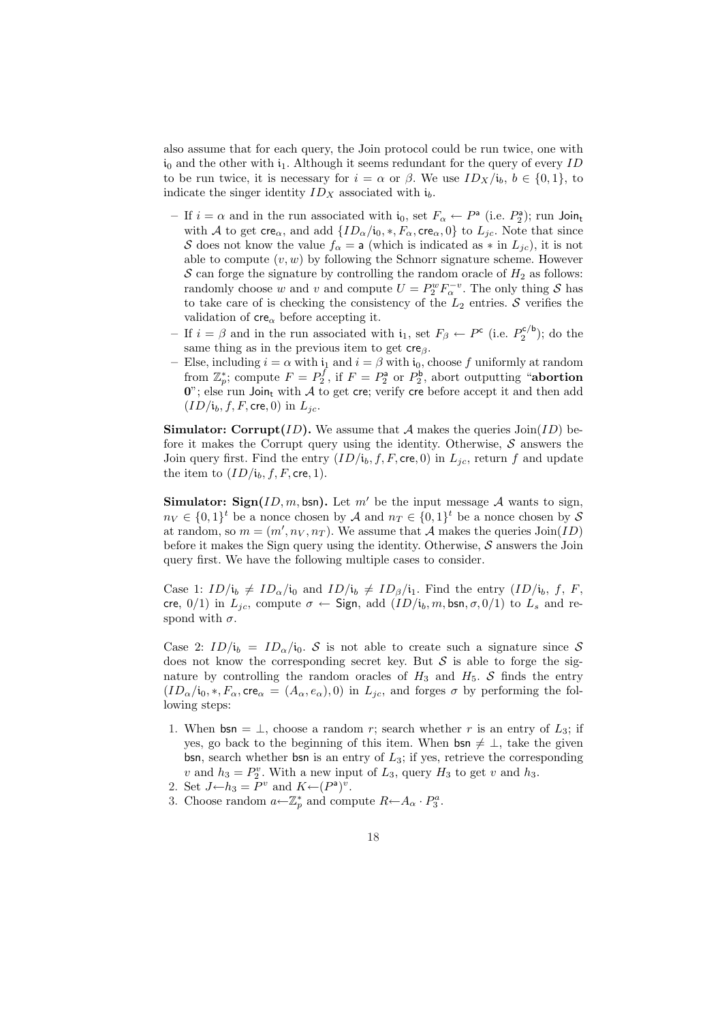also assume that for each query, the Join protocol could be run twice, one with  $i_0$  and the other with  $i_1$ . Although it seems redundant for the query of every ID to be run twice, it is necessary for  $i = \alpha$  or  $\beta$ . We use  $ID_X/i_b$ ,  $b \in \{0, 1\}$ , to indicate the singer identity  $ID_X$  associated with  $i_b$ .

- If  $i = \alpha$  and in the run associated with  $i_0$ , set  $F_\alpha \leftarrow P^a$  (i.e.  $P_2^a$ ); run Join<sub>t</sub> with A to get cre<sub>α</sub>, and add  $\{ID_{\alpha}/i_0, *, F_{\alpha}, \text{cre}_{\alpha}, 0\}$  to  $L_{jc}$ . Note that since S does not know the value  $f_{\alpha} = a$  (which is indicated as  $*$  in  $L_{jc}$ ), it is not able to compute  $(v, w)$  by following the Schnorr signature scheme. However  $S$  can forge the signature by controlling the random oracle of  $H_2$  as follows: randomly choose w and v and compute  $U = P_2^w F_\alpha^{-v}$ . The only thing S has to take care of is checking the consistency of the  $L_2$  entries.  $S$  verifies the validation of  $\mathsf{cre}_\alpha$  before accepting it.
- If  $i = \beta$  and in the run associated with  $i_1$ , set  $F_\beta \leftarrow P^{\mathsf{c}}$  (i.e.  $P_2^{\mathsf{c}/\mathsf{b}}$ ); do the same thing as in the previous item to get  $cre_{\beta}$ .
- Else, including  $i = \alpha$  with  $i_1$  and  $i = \beta$  with  $i_0$ , choose f uniformly at random from  $\mathbb{Z}_p^*$ ; compute  $F = P_2^f$ , if  $F = P_2^a$  or  $P_2^b$ , abort outputting "abortion  $0$ "; else run Join<sub>t</sub> with A to get cre; verify cre before accept it and then add  $(ID/i<sub>b</sub>, f, F, \text{cre}, 0)$  in  $L<sub>ic</sub>$ .

**Simulator: Corrupt**(*ID*). We assume that A makes the queries  $\text{Join}(ID)$  before it makes the Corrupt query using the identity. Otherwise,  $S$  answers the Join query first. Find the entry  $(ID/i<sub>b</sub>, f, F, \text{cre}, 0)$  in  $L_{ic}$ , return f and update the item to  $(ID/i<sub>b</sub>, f, F, \text{cre}, 1)$ .

**Simulator:** Sign(ID, m, bsn). Let m' be the input message A wants to sign,  $n_V \in \{0,1\}^t$  be a nonce chosen by A and  $n_T \in \{0,1\}^t$  be a nonce chosen by S at random, so  $m = (m', n_V, n_T)$ . We assume that A makes the queries  $\text{Join}(ID)$ before it makes the Sign query using the identity. Otherwise,  $S$  answers the Join query first. We have the following multiple cases to consider.

Case 1:  $ID/i_b \neq ID_\alpha/i_0$  and  $ID/i_b \neq ID_\beta/i_1$ . Find the entry  $(ID/i_b, f, F, f)$ cre, 0/1) in  $L_{jc}$ , compute  $\sigma \leftarrow$  Sign, add  $(ID/i<sub>b</sub>, m, bsn, \sigma, 0/1)$  to  $L_s$  and respond with  $\sigma$ .

Case 2:  $ID/i_b = ID_\alpha/i_0$ . S is not able to create such a signature since S does not know the corresponding secret key. But  $S$  is able to forge the signature by controlling the random oracles of  $H_3$  and  $H_5$ . S finds the entry  $(ID_{\alpha}/i_0, *, F_{\alpha}, \text{cre}_{\alpha} = (A_{\alpha}, e_{\alpha}), 0)$  in  $L_{ic}$ , and forges  $\sigma$  by performing the following steps:

- 1. When bsn =  $\perp$ , choose a random r; search whether r is an entry of  $L_3$ ; if yes, go back to the beginning of this item. When  $bsn \neq \bot$ , take the given bsn, search whether bsn is an entry of  $L_3$ ; if yes, retrieve the corresponding v and  $h_3 = P_2^v$ . With a new input of  $L_3$ , query  $H_3$  to get v and  $h_3$ .
- 2. Set  $J \leftarrow h_3 = P^v$  and  $K \leftarrow (P^a)^v$ .
- 3. Choose random  $a \leftarrow \mathbb{Z}_p^*$  and compute  $R \leftarrow A_\alpha \cdot P_3^a$ .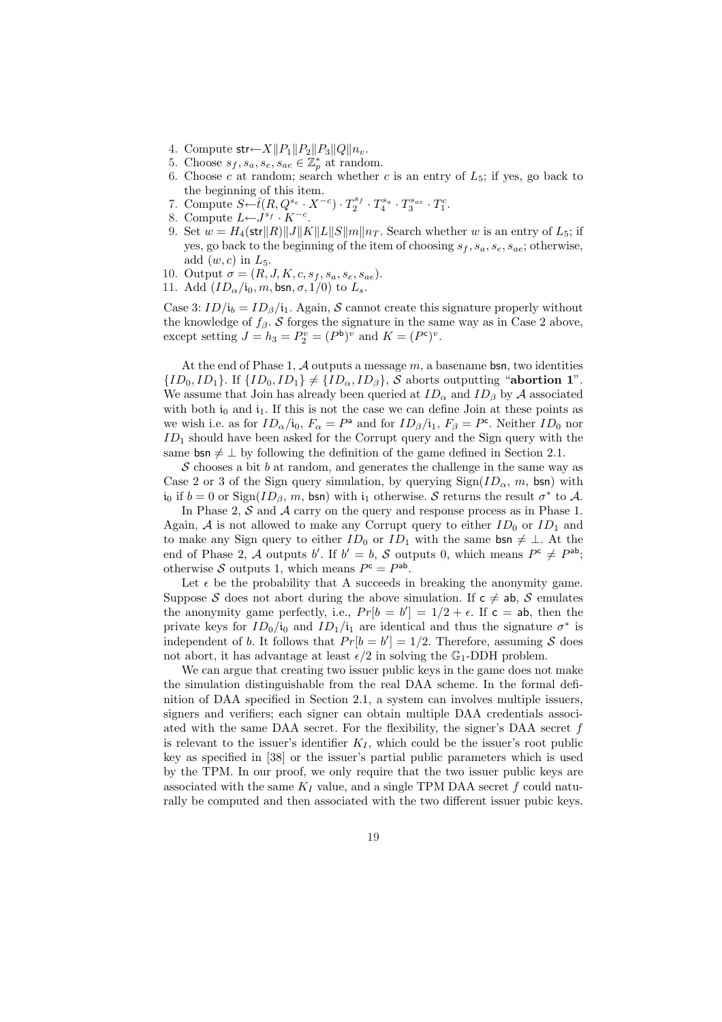- 4. Compute str← $X||P_1||P_2||P_3||Q||n_v$ .
- 5. Choose  $s_f, s_a, s_e, s_{ae} \in \mathbb{Z}_p^*$  at random.
- 6. Choose c at random; search whether c is an entry of  $L_5$ ; if yes, go back to the beginning of this item.
- 7. Compute  $S \leftarrow \hat{t}(R, Q^{s_e} \cdot X^{-c}) \cdot T_2^{s_f} \cdot T_4^{s_a} \cdot T_3^{s_{ae}} \cdot T_1^c$ .
- 8. Compute  $L \leftarrow J^{s_f} \cdot K^{-c}$ .
- 9. Set  $w = H_4(\text{str}||R)||J||K||L||S||m||n_T$ . Search whether w is an entry of  $L_5$ ; if yes, go back to the beginning of the item of choosing  $s_f, s_a, s_e, s_{ae}$ ; otherwise, add  $(w, c)$  in  $L_5$ .
- 10. Output  $\sigma = (R, J, K, c, s_f, s_a, s_e, s_{ae}).$
- 11. Add  $(ID_{\alpha}/i_0, m, \text{bsn}, \sigma, 1/0)$  to  $L_s$ .

Case 3:  $ID/i_b = ID_\beta/i_1$ . Again, S cannot create this signature properly without the knowledge of  $f_\beta$ . S forges the signature in the same way as in Case 2 above, except setting  $J = h_3 = P_2^v = (P^{\mathsf{b}})^v$  and  $K = (P^{\mathsf{c}})^v$ .

At the end of Phase 1,  $A$  outputs a message  $m$ , a basename bsn, two identities  ${ID_0, ID_1}$ . If  ${ID_0, ID_1} \neq {ID_\alpha, ID_\beta}$ , S aborts outputting "abortion 1". We assume that Join has already been queried at  $ID_{\alpha}$  and  $ID_{\beta}$  by A associated with both  $i_0$  and  $i_1$ . If this is not the case we can define Join at these points as we wish i.e. as for  $ID_{\alpha}/i_0$ ,  $F_{\alpha} = P^{\alpha}$  and for  $ID_{\beta}/i_1$ ,  $F_{\beta} = P^{\mathsf{c}}$ . Neither  $ID_0$  nor  $ID_1$  should have been asked for the Corrupt query and the Sign query with the same bsn  $\neq \perp$  by following the definition of the game defined in Section 2.1.

 $S$  chooses a bit  $b$  at random, and generates the challenge in the same way as Case 2 or 3 of the Sign query simulation, by querying  $Sign(ID_{\alpha}, m, \text{bsn})$  with i<sub>0</sub> if  $b = 0$  or Sign( $ID_\beta$ , m, bsn) with i<sub>1</sub> otherwise. S returns the result  $\sigma^*$  to A.

In Phase 2,  $S$  and  $A$  carry on the query and response process as in Phase 1. Again,  $A$  is not allowed to make any Corrupt query to either  $ID_0$  or  $ID_1$  and to make any Sign query to either  $ID_0$  or  $ID_1$  with the same bsn  $\neq \bot$ . At the end of Phase 2, A outputs b'. If  $b' = b$ , S outputs 0, which means  $P^c \neq P^{ab}$ ; otherwise S outputs 1, which means  $P^{\mathsf{c}} = P^{\mathsf{ab}}$ .

Let  $\epsilon$  be the probability that A succeeds in breaking the anonymity game. Suppose S does not abort during the above simulation. If  $c \neq ab$ , S emulates the anonymity game perfectly, i.e.,  $Pr[b = b'] = 1/2 + \epsilon$ . If  $c = ab$ , then the private keys for  $ID_0/i_0$  and  $ID_1/i_1$  are identical and thus the signature  $\sigma^*$  is independent of b. It follows that  $Pr[b = b'] = 1/2$ . Therefore, assuming S does not abort, it has advantage at least  $\epsilon/2$  in solving the G<sub>1</sub>-DDH problem.

We can argue that creating two issuer public keys in the game does not make the simulation distinguishable from the real DAA scheme. In the formal definition of DAA specified in Section 2.1, a system can involves multiple issuers, signers and verifiers; each signer can obtain multiple DAA credentials associated with the same DAA secret. For the flexibility, the signer's DAA secret  $f$ is relevant to the issuer's identifier  $K_I$ , which could be the issuer's root public key as specified in [38] or the issuer's partial public parameters which is used by the TPM. In our proof, we only require that the two issuer public keys are associated with the same  $K_I$  value, and a single TPM DAA secret f could naturally be computed and then associated with the two different issuer pubic keys.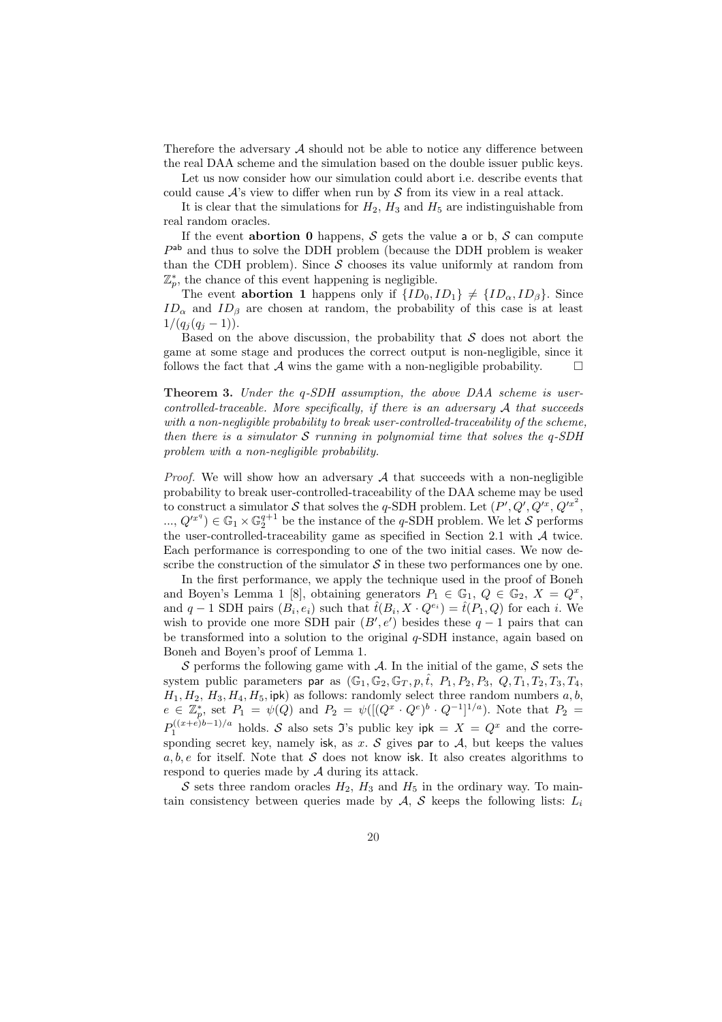Therefore the adversary  $A$  should not be able to notice any difference between the real DAA scheme and the simulation based on the double issuer public keys.

Let us now consider how our simulation could abort i.e. describe events that could cause  $\mathcal{A}$ 's view to differ when run by  $\mathcal{S}$  from its view in a real attack.

It is clear that the simulations for  $H_2$ ,  $H_3$  and  $H_5$  are indistinguishable from real random oracles.

If the event abortion 0 happens,  $S$  gets the value a or b,  $S$  can compute  $P^{ab}$  and thus to solve the DDH problem (because the DDH problem is weaker than the CDH problem). Since  $S$  chooses its value uniformly at random from  $\mathbb{Z}_p^*$ , the chance of this event happening is negligible.

The event **abortion 1** happens only if  $\{ID_0, ID_1\} \neq \{ID_\alpha, ID_\beta\}$ . Since  $ID_{\alpha}$  and  $ID_{\beta}$  are chosen at random, the probability of this case is at least  $1/(q_i(q_i-1)).$ 

Based on the above discussion, the probability that  $S$  does not abort the game at some stage and produces the correct output is non-negligible, since it follows the fact that A wins the game with a non-negligible probability.  $\Box$ 

Theorem 3. Under the q-SDH assumption, the above DAA scheme is usercontrolled-traceable. More specifically, if there is an adversary A that succeeds with a non-negligible probability to break user-controlled-traceability of the scheme. then there is a simulator  $S$  running in polynomial time that solves the  $q$ -SDH problem with a non-negligible probability.

*Proof.* We will show how an adversary  $A$  that succeeds with a non-negligible probability to break user-controlled-traceability of the DAA scheme may be used to construct a simulator S that solves the q-SDH problem. Let  $(P', Q', Q'^x, Q'^x^2)$ ,  $(1, \ldots, Q'^{x^q}) \in \mathbb{G}_1 \times \mathbb{G}_2^{q+1}$  be the instance of the q-SDH problem. We let S performs the user-controlled-traceability game as specified in Section 2.1 with A twice. Each performance is corresponding to one of the two initial cases. We now describe the construction of the simulator  $S$  in these two performances one by one.

In the first performance, we apply the technique used in the proof of Boneh and Boyen's Lemma 1 [8], obtaining generators  $P_1 \in \mathbb{G}_1$ ,  $Q \in \mathbb{G}_2$ ,  $X = Q^x$ , and  $q-1$  SDH pairs  $(B_i, e_i)$  such that  $\hat{t}(B_i, X \cdot Q^{e_i}) = \hat{t}(P_1, Q)$  for each i. We wish to provide one more SDH pair  $(B', e')$  besides these  $q-1$  pairs that can be transformed into a solution to the original q-SDH instance, again based on Boneh and Boyen's proof of Lemma 1.

S performs the following game with A. In the initial of the game,  $S$  sets the system public parameters par as  $(\mathbb{G}_1, \mathbb{G}_2, \mathbb{G}_T, p, \hat{t}, P_1, P_2, P_3, Q, T_1, T_2, T_3, T_4,$  $H_1, H_2, H_3, H_4, H_5$ , ipk) as follows: randomly select three random numbers a, b,  $e \in \mathbb{Z}_p^*$ , set  $P_1 = \psi(Q)$  and  $P_2 = \psi([[Q^x \cdot Q^e)^b \cdot Q^{-1}]^{1/a})$ . Note that  $P_2 =$  $P_1^{((x+e)b-1)/a}$  holds. S also sets J's public key ipk =  $X = Q^x$  and the corresponding secret key, namely isk, as x.  $S$  gives par to  $A$ , but keeps the values a, b, e for itself. Note that  $S$  does not know isk. It also creates algorithms to respond to queries made by  $A$  during its attack.

S sets three random oracles  $H_2$ ,  $H_3$  and  $H_5$  in the ordinary way. To maintain consistency between queries made by  $A$ ,  $S$  keeps the following lists:  $L_i$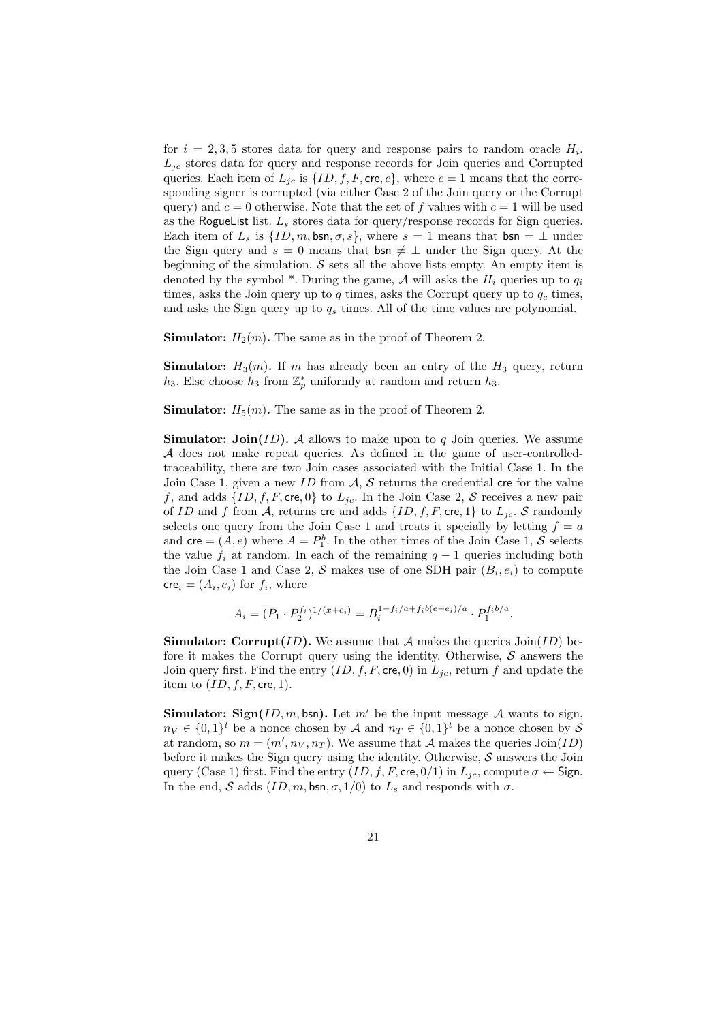for  $i = 2, 3, 5$  stores data for query and response pairs to random oracle  $H_i$ .  $L_{jc}$  stores data for query and response records for Join queries and Corrupted queries. Each item of  $L_{jc}$  is  $\{ID, f, F, \text{cre}, c\}$ , where  $c = 1$  means that the corresponding signer is corrupted (via either Case 2 of the Join query or the Corrupt query) and  $c = 0$  otherwise. Note that the set of f values with  $c = 1$  will be used as the RogueList list.  $L<sub>s</sub>$  stores data for query/response records for Sign queries. Each item of  $L_s$  is  $\{ID, m, \text{bsn}, \sigma, s\}$ , where  $s = 1$  means that  $\text{bsn} = \bot$  under the Sign query and  $s = 0$  means that bsn  $\neq \perp$  under the Sign query. At the beginning of the simulation,  $S$  sets all the above lists empty. An empty item is denoted by the symbol  $*$ . During the game, A will asks the  $H_i$  queries up to  $q_i$ times, asks the Join query up to q times, asks the Corrupt query up to  $q_c$  times, and asks the Sign query up to  $q_s$  times. All of the time values are polynomial.

**Simulator:**  $H_2(m)$ . The same as in the proof of Theorem 2.

**Simulator:**  $H_3(m)$ . If m has already been an entry of the  $H_3$  query, return  $h_3$ . Else choose  $h_3$  from  $\mathbb{Z}_p^*$  uniformly at random and return  $h_3$ .

**Simulator:**  $H_5(m)$ . The same as in the proof of Theorem 2.

**Simulator:** Join(*ID*). A allows to make upon to q Join queries. We assume A does not make repeat queries. As defined in the game of user-controlledtraceability, there are two Join cases associated with the Initial Case 1. In the Join Case 1, given a new ID from  $A, S$  returns the credential cre for the value f, and adds  $\{ID, f, F, \text{cre}, 0\}$  to  $L_{jc}$ . In the Join Case 2, S receives a new pair of ID and f from A, returns cre and adds  $\{ID, f, F, \text{cre}, 1\}$  to  $L_{jc}$ . S randomly selects one query from the Join Case 1 and treats it specially by letting  $f = a$ and  $\mathsf{cre} = (A, e)$  where  $A = P_1^b$ . In the other times of the Join Case 1, S selects the value  $f_i$  at random. In each of the remaining  $q-1$  queries including both the Join Case 1 and Case 2,  $S$  makes use of one SDH pair  $(B_i, e_i)$  to compute  $\mathsf{cre}_i = (A_i, e_i)$  for  $f_i$ , where

$$
A_i = (P_1 \cdot P_2^{f_i})^{1/(x+e_i)} = B_i^{1-f_i/a+f_ib(e-e_i)/a} \cdot P_1^{f_ib/a}.
$$

**Simulator:** Corrupt(*ID*). We assume that A makes the queries  $\text{Join}(ID)$  before it makes the Corrupt query using the identity. Otherwise,  $S$  answers the Join query first. Find the entry  $(ID, f, F, \text{cre}, 0)$  in  $L_{ic}$ , return f and update the item to  $(ID, f, F, \text{cre}, 1)$ .

**Simulator:** Sign(ID, m, bsn). Let m' be the input message A wants to sign,  $n_V \in \{0,1\}^t$  be a nonce chosen by  $\mathcal A$  and  $n_T \in \{0,1\}^t$  be a nonce chosen by  $\mathcal S$ at random, so  $m = (m', n_V, n_T)$ . We assume that A makes the queries  $\text{Join}(ID)$ before it makes the Sign query using the identity. Otherwise,  $S$  answers the Join query (Case 1) first. Find the entry  $(ID, f, F, \text{cre}, 0/1)$  in  $L_{ic}$ , compute  $\sigma \leftarrow$  Sign. In the end, S adds  $(ID, m, \text{bsn}, \sigma, 1/0)$  to  $L_s$  and responds with  $\sigma$ .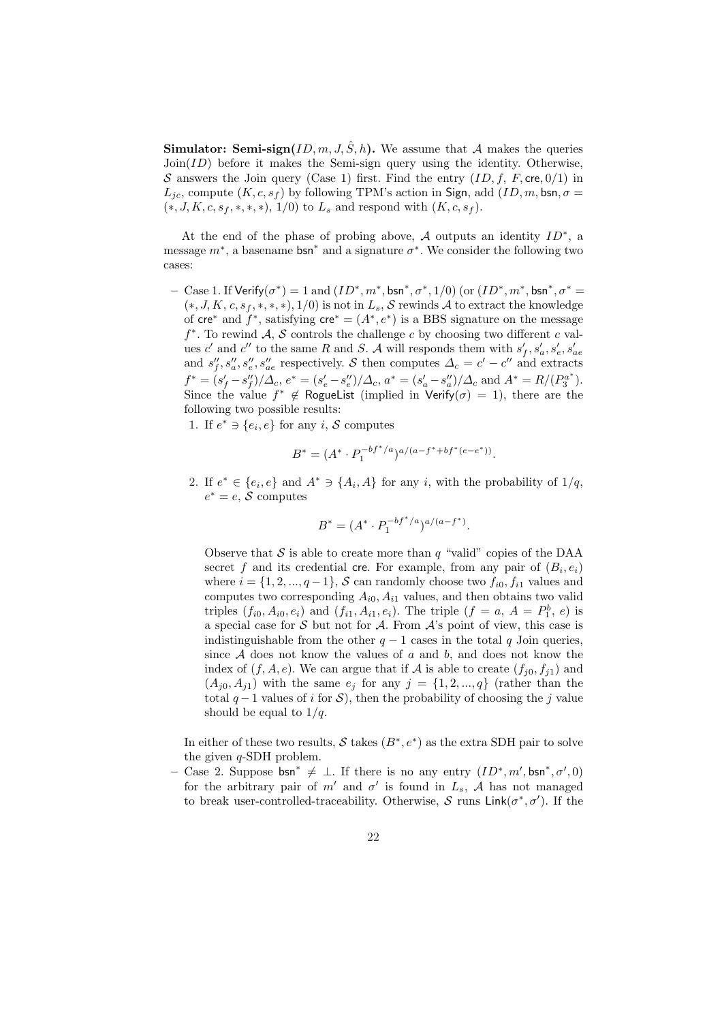**Simulator:** Semi-sign(ID, m, J,  $\hat{S}$ , h). We assume that A makes the queries  $Join(ID)$  before it makes the Semi-sign query using the identity. Otherwise, S answers the Join query (Case 1) first. Find the entry  $(ID, f, F,$  cre,  $0/1)$  in  $L_{ic}$ , compute  $(K, c, s_f)$  by following TPM's action in Sign, add  $(ID, m, bsn, \sigma =$  $(*, J, K, c, s_f, *, *, *), 1/0$  to  $L_s$  and respond with  $(K, c, s_f)$ .

At the end of the phase of probing above,  $A$  outputs an identity  $ID^*$ , a message  $m^*$ , a basename  $bsn^*$  and a signature  $\sigma^*$ . We consider the following two cases:

- Case 1. If Verify $(\sigma^*) = 1$  and  $(ID^*, m^*, \text{bsn}^*, \sigma^*, 1/0)$  (or  $(ID^*, m^*, \text{bsn}^*, \sigma^* =$  $(*, J, K, c, s<sub>f</sub>, *, *, *), 1/0$  is not in  $L<sub>s</sub>, S$  rewinds A to extract the knowledge of cre<sup>\*</sup> and  $f^*$ , satisfying cre<sup>\*</sup> =  $(A^*, e^*)$  is a BBS signature on the message  $f^*$ . To rewind A, S controls the challenge c by choosing two different c values c' and c'' to the same R and S. A will responds them with  $s'_f, s'_a, s'_e, s'_{ae}$ and  $s''_f, s''_a, s''_e, s''_a$  respectively. S then computes  $\Delta_c = c' - c''$  and extracts  $f^* = (s'_f - s''_f)/\Delta_c, e^* = (s'_e - s''_e)/\Delta_c, a^* = (s'_a - s''_a)/\Delta_c$  and  $A^* = R/(P_3^{a^*}).$ Since the value  $f^* \notin \text{Roguelist}$  (implied in Verify( $\sigma$ ) = 1), there are the following two possible results:
	- 1. If  $e^* \ni \{e_i, e\}$  for any *i*, *S* computes

$$
B^* = (A^* \cdot P_1^{-b f^*/a})^{a/(a-f^*+bf^*(e-e^*))}.
$$

2. If  $e^* \in \{e_i, e\}$  and  $A^* \ni \{A_i, A\}$  for any i, with the probability of  $1/q$ ,  $e^* = e$ , S computes

$$
B^* = (A^* \cdot P_1^{-b f^*/a})^{a/(a-f^*)}.
$$

Observe that  $S$  is able to create more than  $q$  "valid" copies of the DAA secret f and its credential cre. For example, from any pair of  $(B_i, e_i)$ where  $i = \{1, 2, ..., q-1\}$ , S can randomly choose two  $f_{i0}, f_{i1}$  values and computes two corresponding  $A_{i0}$ ,  $A_{i1}$  values, and then obtains two valid triples  $(f_{i0}, A_{i0}, e_i)$  and  $(f_{i1}, A_{i1}, e_i)$ . The triple  $(f = a, A = P_1^b, e)$  is a special case for S but not for A. From  $A$ 's point of view, this case is indistinguishable from the other  $q - 1$  cases in the total q Join queries, since  $A$  does not know the values of  $a$  and  $b$ , and does not know the index of  $(f, A, e)$ . We can argue that if A is able to create  $(f_{i0}, f_{i1})$  and  $(A_{i0}, A_{i1})$  with the same  $e_i$  for any  $j = \{1, 2, ..., q\}$  (rather than the total  $q-1$  values of i for S), then the probability of choosing the j value should be equal to  $1/q$ .

In either of these two results, S takes  $(B^*, e^*)$  as the extra SDH pair to solve the given q-SDH problem.

– Case 2. Suppose  $bsn^* \neq \bot$ . If there is no any entry  $(ID^*, m', bsn^*, \sigma', 0)$ for the arbitrary pair of  $m'$  and  $\sigma'$  is found in  $L_s$ , A has not managed to break user-controlled-traceability. Otherwise,  $S$  runs Link $(\sigma^*, \sigma')$ . If the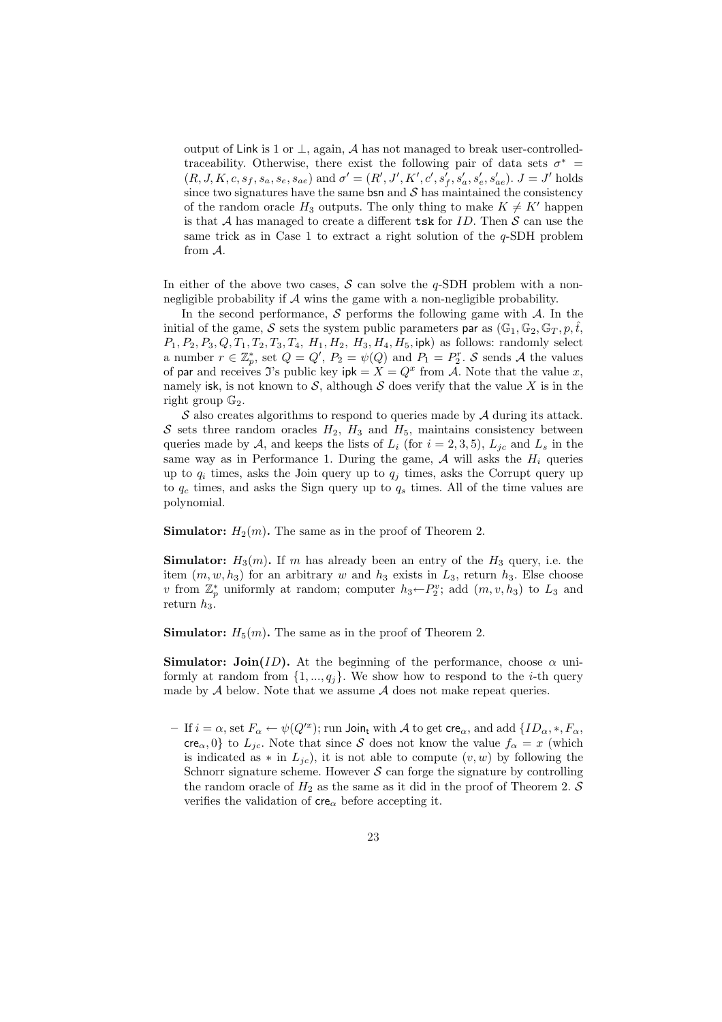output of Link is 1 or  $\perp$ , again, A has not managed to break user-controlledtraceability. Otherwise, there exist the following pair of data sets  $\sigma^*$  =  $(R, J, K, c, s_f, s_a, s_e, s_{ae})$  and  $\sigma' = (R', J', K', c', s'_f, s'_a, s'_e, s'_{ae})$ .  $J = J'$  holds since two signatures have the same ban and  $S$  has maintained the consistency of the random oracle  $H_3$  outputs. The only thing to make  $K \neq K'$  happen is that  $A$  has managed to create a different tsk for ID. Then  $S$  can use the same trick as in Case 1 to extract a right solution of the  $q$ -SDH problem from A.

In either of the above two cases,  $S$  can solve the q-SDH problem with a nonnegligible probability if  $A$  wins the game with a non-negligible probability.

In the second performance,  $S$  performs the following game with  $A$ . In the initial of the game, S sets the system public parameters par as  $(\mathbb{G}_1, \mathbb{G}_2, \mathbb{G}_T, p, \hat{t})$ ,  $P_1, P_2, P_3, Q, T_1, T_2, T_3, T_4, H_1, H_2, H_3, H_4, H_5$ , ipk) as follows: randomly select a number  $r \in \mathbb{Z}_p^*$ , set  $Q = Q'$ ,  $P_2 = \psi(Q)$  and  $P_1 = P_2^r$ . S sends A the values of par and receives  $\mathfrak{I}'$ 's public key ipk =  $X = Q^x$  from A. Note that the value x, namely isk, is not known to S, although S does verify that the value X is in the right group  $\mathbb{G}_2$ .

 $S$  also creates algorithms to respond to queries made by  $A$  during its attack. S sets three random oracles  $H_2$ ,  $H_3$  and  $H_5$ , maintains consistency between queries made by A, and keeps the lists of  $L_i$  (for  $i = 2, 3, 5$ ),  $L_{ic}$  and  $L_s$  in the same way as in Performance 1. During the game,  $A$  will asks the  $H_i$  queries up to  $q_i$  times, asks the Join query up to  $q_i$  times, asks the Corrupt query up to  $q_c$  times, and asks the Sign query up to  $q_s$  times. All of the time values are polynomial.

**Simulator:**  $H_2(m)$ . The same as in the proof of Theorem 2.

**Simulator:**  $H_3(m)$ . If m has already been an entry of the  $H_3$  query, i.e. the item  $(m, w, h_3)$  for an arbitrary w and  $h_3$  exists in  $L_3$ , return  $h_3$ . Else choose v from  $\mathbb{Z}_p^*$  uniformly at random; computer  $h_3 \leftarrow P_2^v$ ; add  $(m, v, h_3)$  to  $L_3$  and return  $h_3$ .

**Simulator:**  $H_5(m)$ . The same as in the proof of Theorem 2.

**Simulator:** Join(*ID*). At the beginning of the performance, choose  $\alpha$  uniformly at random from  $\{1, ..., q_j\}$ . We show how to respond to the *i*-th query made by  $A$  below. Note that we assume  $A$  does not make repeat queries.

- If  $i = \alpha$ , set  $F_{\alpha} \leftarrow \psi(Q'^{x})$ ; run Join<sub>t</sub> with A to get cre<sub> $\alpha$ </sub>, and add  $\{ID_{\alpha}, \ast, F_{\alpha},\}$  $\mathsf{cre}_\alpha, 0\}$  to  $L_{jc}$ . Note that since S does not know the value  $f_\alpha = x$  (which is indicated as  $*$  in  $L_{jc}$ ), it is not able to compute  $(v, w)$  by following the Schnorr signature scheme. However  $\mathcal S$  can forge the signature by controlling the random oracle of  $H_2$  as the same as it did in the proof of Theorem 2.  $S$ verifies the validation of  $\mathsf{cre}_\alpha$  before accepting it.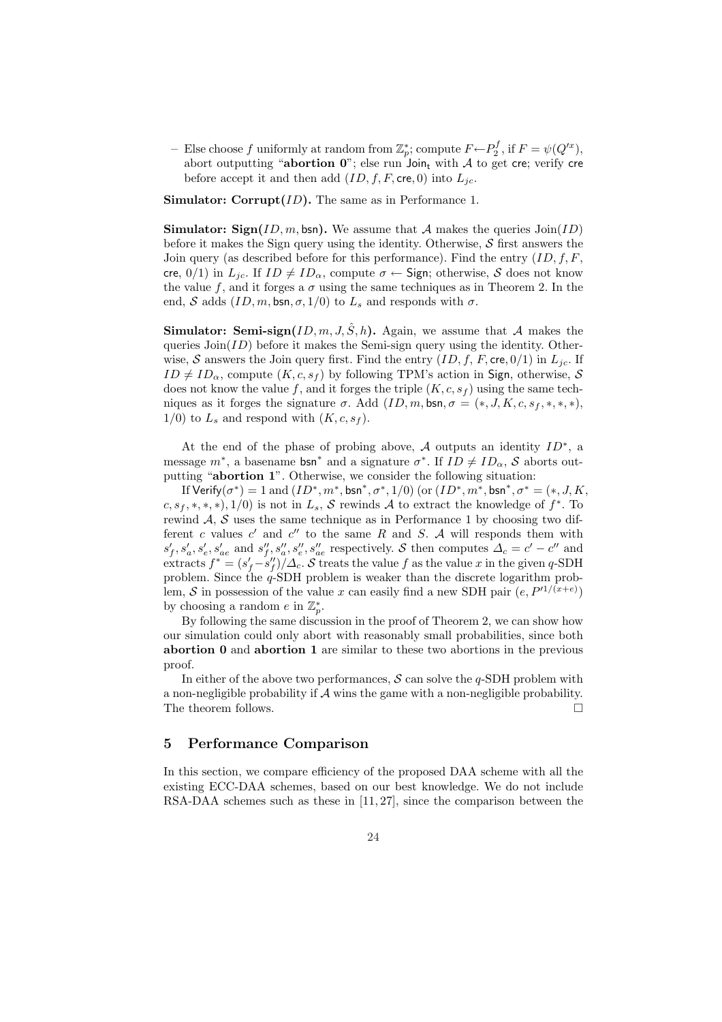− Else choose f uniformly at random from  $\mathbb{Z}_p^*$ ; compute  $F \leftarrow P_2^f$ , if  $F = \psi(Q'^x)$ , abort outputting "abortion  $0$ "; else run Join<sub>t</sub> with A to get cre; verify cre before accept it and then add  $(ID, f, F, \text{cre}, 0)$  into  $L_{ic}$ .

**Simulator: Corrupt** $(ID)$ . The same as in Performance 1.

**Simulator:** Sign(ID, m, bsn). We assume that A makes the queries  $\text{Join}(ID)$ before it makes the Sign query using the identity. Otherwise,  $\mathcal S$  first answers the Join query (as described before for this performance). Find the entry  $(ID, f, F, f]$ cre, 0/1) in  $L_{ic}$ . If  $ID \neq ID_{\alpha}$ , compute  $\sigma \leftarrow$  Sign; otherwise, S does not know the value f, and it forges a  $\sigma$  using the same techniques as in Theorem 2. In the end, S adds  $(ID, m, \text{bsn}, \sigma, 1/0)$  to  $L_s$  and responds with  $\sigma$ .

**Simulator:** Semi-sign(ID, m, J,  $\hat{S}$ , h). Again, we assume that A makes the queries  $Join(ID)$  before it makes the Semi-sign query using the identity. Otherwise,  $S$  answers the Join query first. Find the entry  $(ID, f, F, \text{cre}, 0/1)$  in  $L_{jc}$ . If  $ID \neq ID_{\alpha}$ , compute  $(K, c, s_f)$  by following TPM's action in Sign, otherwise, S does not know the value f, and it forges the triple  $(K, c, s_f)$  using the same techniques as it forges the signature  $\sigma$ . Add  $(ID, m, \text{bsn}, \sigma = (*, J, K, c, s_f, *, *, *),$  $1/0$ ) to  $L_s$  and respond with  $(K, c, s_f)$ .

At the end of the phase of probing above,  $A$  outputs an identity  $ID^*$ , a message  $m^*$ , a basename bsn<sup>\*</sup> and a signature  $\sigma^*$ . If  $ID \neq ID_\alpha$ , S aborts outputting "abortion 1". Otherwise, we consider the following situation:

If  $\mathsf{Verify}(\sigma^*)=1$  and  $(ID^*, m^*, \mathsf{bsn}^*, \sigma^*, 1/0)$  (or  $(ID^*, m^*, \mathsf{bsn}^*, \sigma^*=(*, J, K,$  $c, s_f, *, *, *,$ ), 1/0) is not in  $L_s$ , S rewinds A to extract the knowledge of  $f^*$ . To rewind  $A$ ,  $S$  uses the same technique as in Performance 1 by choosing two different c values  $c'$  and  $c''$  to the same R and S. A will responds them with  $s'_f, s'_a, s'_e, s'_{ae}$  and  $s''_f, s''_a, s''_e, s''_{ae}$  respectively. S then computes  $\Delta_c = c' - c''$  and extracts  $f^* = (s_f' - s_f'')/\Delta_c$ . S treats the value f as the value x in the given q-SDH problem. Since the q-SDH problem is weaker than the discrete logarithm problem, S in possession of the value x can easily find a new SDH pair  $(e, P'^{1/(x+e)})$ by choosing a random  $e$  in  $\mathbb{Z}_p^*$ .

By following the same discussion in the proof of Theorem 2, we can show how our simulation could only abort with reasonably small probabilities, since both abortion 0 and abortion 1 are similar to these two abortions in the previous proof.

In either of the above two performances,  $S$  can solve the q-SDH problem with a non-negligible probability if  $\mathcal A$  wins the game with a non-negligible probability. The theorem follows.  $\hfill \square$ 

# 5 Performance Comparison

In this section, we compare efficiency of the proposed DAA scheme with all the existing ECC-DAA schemes, based on our best knowledge. We do not include RSA-DAA schemes such as these in [11, 27], since the comparison between the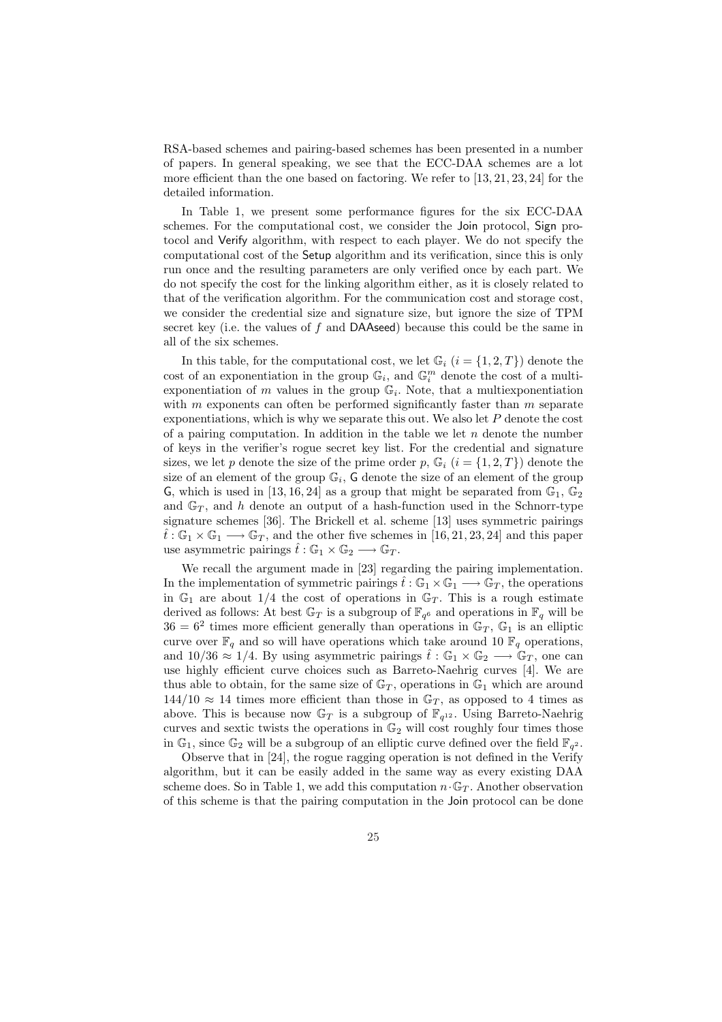RSA-based schemes and pairing-based schemes has been presented in a number of papers. In general speaking, we see that the ECC-DAA schemes are a lot more efficient than the one based on factoring. We refer to [13, 21, 23, 24] for the detailed information.

In Table 1, we present some performance figures for the six ECC-DAA schemes. For the computational cost, we consider the Join protocol, Sign protocol and Verify algorithm, with respect to each player. We do not specify the computational cost of the Setup algorithm and its verification, since this is only run once and the resulting parameters are only verified once by each part. We do not specify the cost for the linking algorithm either, as it is closely related to that of the verification algorithm. For the communication cost and storage cost, we consider the credential size and signature size, but ignore the size of TPM secret key (i.e. the values of f and DAAseed) because this could be the same in all of the six schemes.

In this table, for the computational cost, we let  $\mathbb{G}_i$   $(i = \{1, 2, T\})$  denote the cost of an exponentiation in the group  $\mathbb{G}_i$ , and  $\mathbb{G}_i^m$  denote the cost of a multiexponentiation of  $m$  values in the group  $\mathbb{G}_i$ . Note, that a multiexponentiation with  $m$  exponents can often be performed significantly faster than  $m$  separate exponentiations, which is why we separate this out. We also let  $P$  denote the cost of a pairing computation. In addition in the table we let  $n$  denote the number of keys in the verifier's rogue secret key list. For the credential and signature sizes, we let p denote the size of the prime order p,  $\mathbb{G}_i$   $(i = \{1, 2, T\})$  denote the size of an element of the group  $\mathbb{G}_i$ , G denote the size of an element of the group G, which is used in [13, 16, 24] as a group that might be separated from  $\mathbb{G}_1$ ,  $\mathbb{G}_2$ and  $\mathbb{G}_T$ , and h denote an output of a hash-function used in the Schnorr-type signature schemes [36]. The Brickell et al. scheme [13] uses symmetric pairings  $\hat{t}: \mathbb{G}_1 \times \mathbb{G}_1 \longrightarrow \mathbb{G}_T$ , and the other five schemes in [16, 21, 23, 24] and this paper use asymmetric pairings  $\hat{t}: \mathbb{G}_1 \times \mathbb{G}_2 \longrightarrow \mathbb{G}_T$ .

We recall the argument made in [23] regarding the pairing implementation. In the implementation of symmetric pairings  $\hat{t} : \mathbb{G}_1 \times \mathbb{G}_1 \longrightarrow \mathbb{G}_T$ , the operations in  $\mathbb{G}_1$  are about  $1/4$  the cost of operations in  $\mathbb{G}_T$ . This is a rough estimate derived as follows: At best  $\mathbb{G}_T$  is a subgroup of  $\mathbb{F}_{q^6}$  and operations in  $\mathbb{F}_q$  will be  $36 = 6^2$  times more efficient generally than operations in  $\mathbb{G}_T$ ,  $\mathbb{G}_1$  is an elliptic curve over  $\mathbb{F}_q$  and so will have operations which take around 10  $\mathbb{F}_q$  operations, and  $10/36 \approx 1/4$ . By using asymmetric pairings  $\hat{t}: \mathbb{G}_1 \times \mathbb{G}_2 \longrightarrow \mathbb{G}_T$ , one can use highly efficient curve choices such as Barreto-Naehrig curves [4]. We are thus able to obtain, for the same size of  $\mathbb{G}_T$ , operations in  $\mathbb{G}_1$  which are around  $144/10 \approx 14$  times more efficient than those in  $\mathbb{G}_T$ , as opposed to 4 times as above. This is because now  $\mathbb{G}_T$  is a subgroup of  $\mathbb{F}_{q^{12}}$ . Using Barreto-Naehrig curves and sextic twists the operations in  $\mathbb{G}_2$  will cost roughly four times those in  $\mathbb{G}_1$ , since  $\mathbb{G}_2$  will be a subgroup of an elliptic curve defined over the field  $\mathbb{F}_{q^2}$ .

Observe that in [24], the rogue ragging operation is not defined in the Verify algorithm, but it can be easily added in the same way as every existing DAA scheme does. So in Table 1, we add this computation  $n \cdot \mathbb{G}_T$ . Another observation of this scheme is that the pairing computation in the Join protocol can be done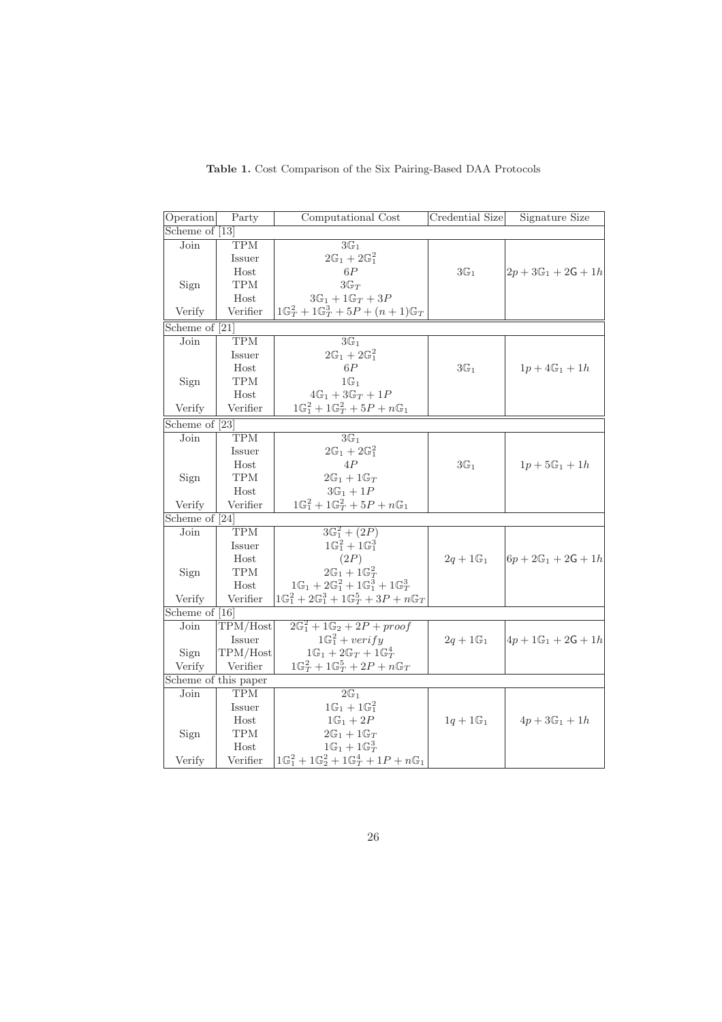| Operation      | Party                | Computational Cost                                                         | Credential Size    | Signature Size          |
|----------------|----------------------|----------------------------------------------------------------------------|--------------------|-------------------------|
| Scheme of [13] |                      |                                                                            |                    |                         |
|                |                      |                                                                            |                    |                         |
| Join           | <b>TPM</b>           | $3G_1$                                                                     |                    |                         |
|                | Issuer               | $2\mathbb{G}_1 + 2\mathbb{G}_1^2$                                          |                    |                         |
|                | Host                 | 6P                                                                         | $3G_1$             | $2p + 3G_1 + 2G + 1h$   |
| Sign           | <b>TPM</b>           | $3G_T$                                                                     |                    |                         |
|                | Host                 | $3\mathbb{G}_1 + 1\mathbb{G}_T + 3P$                                       |                    |                         |
| Verify         | Verifier             | $1\mathbb{G}_T^2 + 1\mathbb{G}_T^3 + 5P + (n+1)\mathbb{G}_T$               |                    |                         |
| Scheme of [21] |                      |                                                                            |                    |                         |
| Join           | <b>TPM</b>           | $3G_1$                                                                     |                    |                         |
|                | Issuer               | $2\mathbb{G}_1 + 2\mathbb{G}_1^2$                                          |                    |                         |
|                | Host                 | 6P                                                                         | $3\mathbb{G}_1$    | $1p+4\mathbb{G}_1+1h$   |
| Sign           | <b>TPM</b>           | $1 \mathbb{G}$ <sub>1</sub>                                                |                    |                         |
|                | Host                 | $4\mathbb{G}_1 + 3\mathbb{G}_T + 1P$                                       |                    |                         |
| Verify         | Verifier             | $1\mathbb{G}_1^2 + 1\mathbb{G}_T^2 + 5P + n\mathbb{G}_1$                   |                    |                         |
| Scheme of [23] |                      |                                                                            |                    |                         |
| Join           | <b>TPM</b>           | 3G <sub>1</sub>                                                            |                    |                         |
|                | Issuer               | $2\mathbb{G}_1 + 2\mathbb{G}_1^2$                                          |                    |                         |
|                | Host                 | 4P                                                                         | $3\mathbb{G}_1$    | $1p + 5G_1 + 1h$        |
| Sign           | TPM                  | $2\mathbb{G}_1 + 1\mathbb{G}_T$                                            |                    |                         |
|                | Host                 | $3\mathbb{G}_1 + 1P$                                                       |                    |                         |
| Verify         | Verifier             | $1\mathbb{G}_1^2 + 1\mathbb{G}_T^2 + 5P + n\mathbb{G}_1$                   |                    |                         |
| Scheme of [24] |                      |                                                                            |                    |                         |
| Join           | <b>TPM</b>           | $3\mathbb{G}^2_1 + (2P)$                                                   |                    |                         |
|                | Issuer               | $1\mathbb{G}_1^2 + 1\mathbb{G}_1^3$                                        |                    |                         |
|                | Host                 | (2P)                                                                       | $2q+1\mathbb{G}_1$ | $ 6p + 2G_1 + 2G + 1h $ |
| Sign           | TPM                  | $2\mathbb{G}_1+1\mathbb{G}_T^2$                                            |                    |                         |
|                | Host                 | $1\mathbb{G}_1 + 2\mathbb{G}_1^2 + 1\mathbb{G}_1^3 + 1\mathbb{G}_T^3$      |                    |                         |
| Verify         | Verifier             | $1\mathbb{G}_1^2 + 2\mathbb{G}_1^3 + 1\mathbb{G}_T^5 + 3P + n\mathbb{G}_T$ |                    |                         |
| Scheme of [16] |                      |                                                                            |                    |                         |
| Join           | TPM/Host             | $2\mathbb{G}_1^2 + 1\mathbb{G}_2 + 2P + \text{proof}$                      |                    |                         |
|                | Issuer               | $1\mathbb{G}^2_1+verify$                                                   | $2q+1\mathbb{G}_1$ | $4p + 1G_1 + 2G + 1h$   |
| Sign           | TPM/Host             | $1\mathbb{G}_1+2\mathbb{G}_T+1\mathbb{G}_T^4$                              |                    |                         |
| Verify         | Verifier             | $1\mathbb{G}_T^2+1\mathbb{G}_T^5+2P+n\mathbb{G}_T$                         |                    |                         |
|                | Scheme of this paper |                                                                            |                    |                         |
| Join           | <b>TPM</b>           | $2\mathbb{G}_1$                                                            |                    |                         |
|                | Issuer               | $1\mathbb{G}_1 + 1\mathbb{G}_1^2$                                          |                    |                         |
|                | Host                 | $1\mathbb{G}_1 + 2P$                                                       | $1q+1\mathbb{G}_1$ | $4p + 3G_1 + 1h$        |
| Sign           | TPM                  | $2\mathbb{G}_1 + 1\mathbb{G}_T$                                            |                    |                         |
|                | Host                 | $1\mathbb{G}_1+1\mathbb{G}_T^3$                                            |                    |                         |
| Verify         | Verifier             | $1\mathbb{G}_1^2 + 1\mathbb{G}_2^2 + 1\mathbb{G}_T^4 + 1P + n\mathbb{G}_1$ |                    |                         |

Table 1. Cost Comparison of the Six Pairing-Based DAA Protocols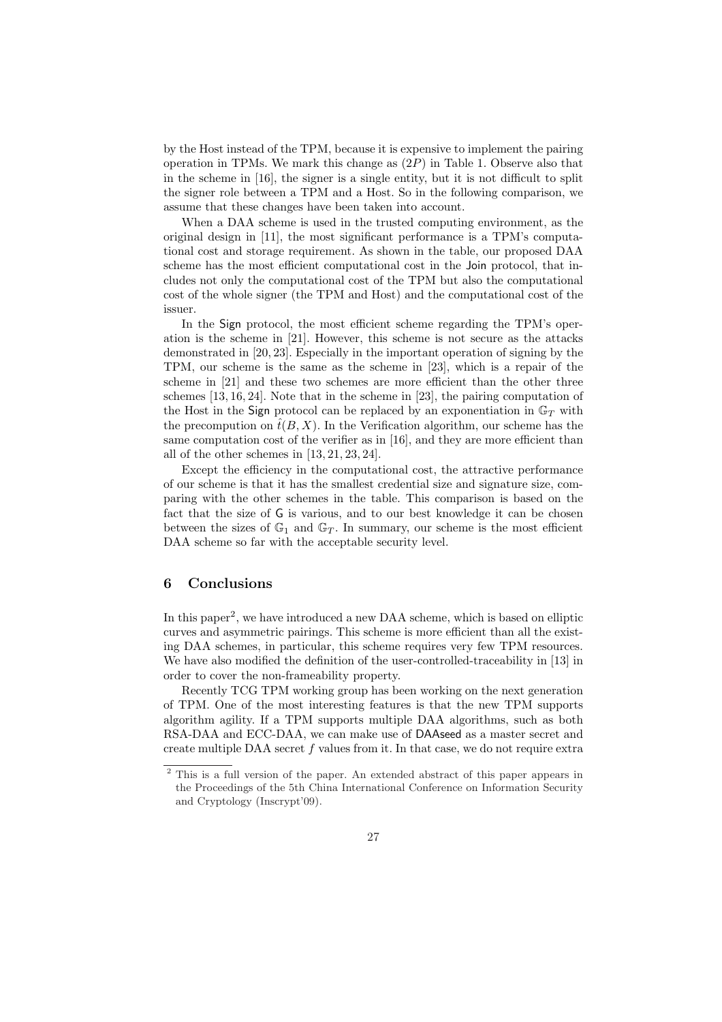by the Host instead of the TPM, because it is expensive to implement the pairing operation in TPMs. We mark this change as  $(2P)$  in Table 1. Observe also that in the scheme in [16], the signer is a single entity, but it is not difficult to split the signer role between a TPM and a Host. So in the following comparison, we assume that these changes have been taken into account.

When a DAA scheme is used in the trusted computing environment, as the original design in [11], the most significant performance is a TPM's computational cost and storage requirement. As shown in the table, our proposed DAA scheme has the most efficient computational cost in the Join protocol, that includes not only the computational cost of the TPM but also the computational cost of the whole signer (the TPM and Host) and the computational cost of the issuer.

In the Sign protocol, the most efficient scheme regarding the TPM's operation is the scheme in [21]. However, this scheme is not secure as the attacks demonstrated in [20, 23]. Especially in the important operation of signing by the TPM, our scheme is the same as the scheme in [23], which is a repair of the scheme in [21] and these two schemes are more efficient than the other three schemes [13, 16, 24]. Note that in the scheme in [23], the pairing computation of the Host in the Sign protocol can be replaced by an exponentiation in  $\mathbb{G}_T$  with the precompution on  $\hat{t}(B, X)$ . In the Verification algorithm, our scheme has the same computation cost of the verifier as in [16], and they are more efficient than all of the other schemes in  $[13, 21, 23, 24]$ .

Except the efficiency in the computational cost, the attractive performance of our scheme is that it has the smallest credential size and signature size, comparing with the other schemes in the table. This comparison is based on the fact that the size of G is various, and to our best knowledge it can be chosen between the sizes of  $\mathbb{G}_1$  and  $\mathbb{G}_T$ . In summary, our scheme is the most efficient DAA scheme so far with the acceptable security level.

# 6 Conclusions

In this paper<sup>2</sup>, we have introduced a new DAA scheme, which is based on elliptic curves and asymmetric pairings. This scheme is more efficient than all the existing DAA schemes, in particular, this scheme requires very few TPM resources. We have also modified the definition of the user-controlled-traceability in [13] in order to cover the non-frameability property.

Recently TCG TPM working group has been working on the next generation of TPM. One of the most interesting features is that the new TPM supports algorithm agility. If a TPM supports multiple DAA algorithms, such as both RSA-DAA and ECC-DAA, we can make use of DAAseed as a master secret and create multiple DAA secret  $f$  values from it. In that case, we do not require extra

<sup>2</sup> This is a full version of the paper. An extended abstract of this paper appears in the Proceedings of the 5th China International Conference on Information Security and Cryptology (Inscrypt'09).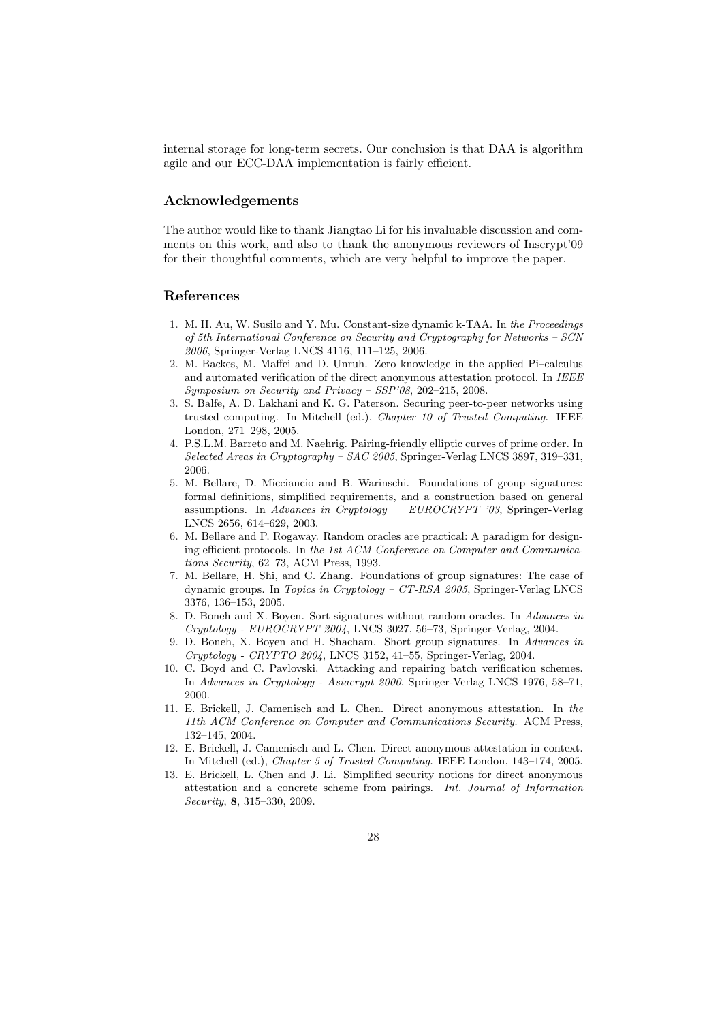internal storage for long-term secrets. Our conclusion is that DAA is algorithm agile and our ECC-DAA implementation is fairly efficient.

# Acknowledgements

The author would like to thank Jiangtao Li for his invaluable discussion and comments on this work, and also to thank the anonymous reviewers of Inscrypt'09 for their thoughtful comments, which are very helpful to improve the paper.

# References

- 1. M. H. Au, W. Susilo and Y. Mu. Constant-size dynamic k-TAA. In the Proceedings of 5th International Conference on Security and Cryptography for Networks – SCN 2006, Springer-Verlag LNCS 4116, 111–125, 2006.
- 2. M. Backes, M. Maffei and D. Unruh. Zero knowledge in the applied Pi–calculus and automated verification of the direct anonymous attestation protocol. In IEEE Symposium on Security and Privacy – SSP'08, 202–215, 2008.
- 3. S. Balfe, A. D. Lakhani and K. G. Paterson. Securing peer-to-peer networks using trusted computing. In Mitchell (ed.), Chapter 10 of Trusted Computing. IEEE London, 271–298, 2005.
- 4. P.S.L.M. Barreto and M. Naehrig. Pairing-friendly elliptic curves of prime order. In Selected Areas in Cryptography – SAC 2005, Springer-Verlag LNCS 3897, 319–331, 2006.
- 5. M. Bellare, D. Micciancio and B. Warinschi. Foundations of group signatures: formal definitions, simplified requirements, and a construction based on general assumptions. In Advances in Cryptology  $-$  EUROCRYPT '03, Springer-Verlag LNCS 2656, 614–629, 2003.
- 6. M. Bellare and P. Rogaway. Random oracles are practical: A paradigm for designing efficient protocols. In the 1st ACM Conference on Computer and Communications Security, 62–73, ACM Press, 1993.
- 7. M. Bellare, H. Shi, and C. Zhang. Foundations of group signatures: The case of dynamic groups. In Topics in Cryptology – CT-RSA 2005, Springer-Verlag LNCS 3376, 136–153, 2005.
- 8. D. Boneh and X. Boyen. Sort signatures without random oracles. In Advances in Cryptology - EUROCRYPT 2004, LNCS 3027, 56–73, Springer-Verlag, 2004.
- 9. D. Boneh, X. Boyen and H. Shacham. Short group signatures. In Advances in Cryptology - CRYPTO 2004, LNCS 3152, 41–55, Springer-Verlag, 2004.
- 10. C. Boyd and C. Pavlovski. Attacking and repairing batch verification schemes. In Advances in Cryptology - Asiacrypt 2000, Springer-Verlag LNCS 1976, 58–71, 2000.
- 11. E. Brickell, J. Camenisch and L. Chen. Direct anonymous attestation. In the 11th ACM Conference on Computer and Communications Security. ACM Press, 132–145, 2004.
- 12. E. Brickell, J. Camenisch and L. Chen. Direct anonymous attestation in context. In Mitchell (ed.), Chapter 5 of Trusted Computing. IEEE London, 143–174, 2005.
- 13. E. Brickell, L. Chen and J. Li. Simplified security notions for direct anonymous attestation and a concrete scheme from pairings. Int. Journal of Information Security, 8, 315–330, 2009.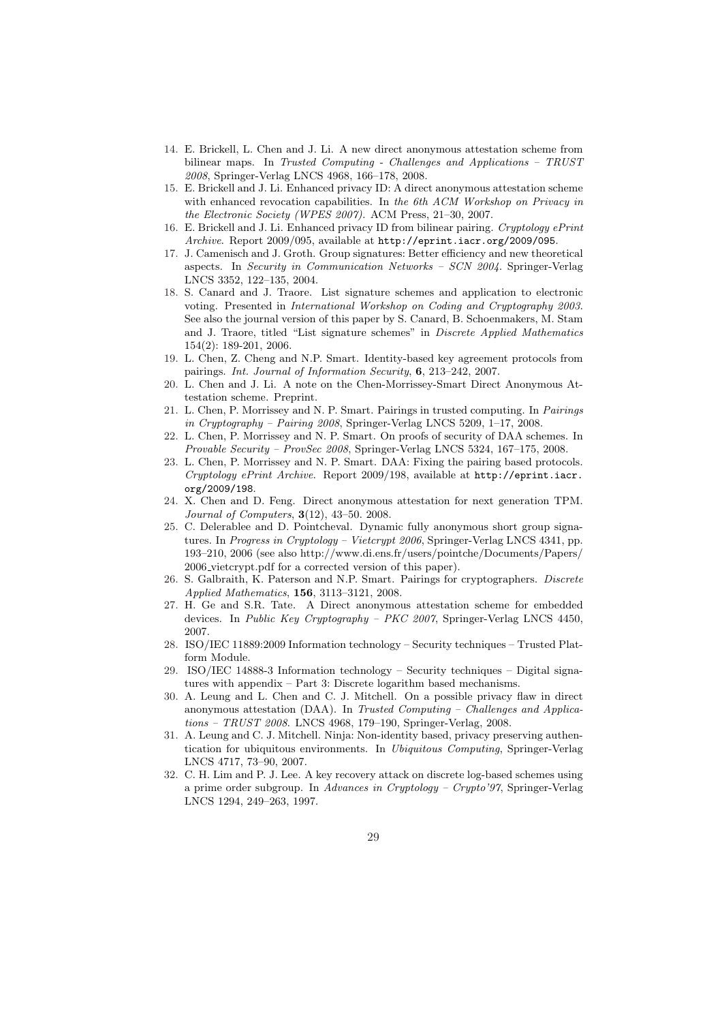- 14. E. Brickell, L. Chen and J. Li. A new direct anonymous attestation scheme from bilinear maps. In Trusted Computing - Challenges and Applications – TRUST 2008, Springer-Verlag LNCS 4968, 166–178, 2008.
- 15. E. Brickell and J. Li. Enhanced privacy ID: A direct anonymous attestation scheme with enhanced revocation capabilities. In the 6th ACM Workshop on Privacy in the Electronic Society (WPES 2007). ACM Press, 21–30, 2007.
- 16. E. Brickell and J. Li. Enhanced privacy ID from bilinear pairing. Cryptology ePrint Archive. Report 2009/095, available at http://eprint.iacr.org/2009/095.
- 17. J. Camenisch and J. Groth. Group signatures: Better efficiency and new theoretical aspects. In Security in Communication Networks – SCN 2004. Springer-Verlag LNCS 3352, 122–135, 2004.
- 18. S. Canard and J. Traore. List signature schemes and application to electronic voting. Presented in International Workshop on Coding and Cryptography 2003. See also the journal version of this paper by S. Canard, B. Schoenmakers, M. Stam and J. Traore, titled "List signature schemes" in Discrete Applied Mathematics 154(2): 189-201, 2006.
- 19. L. Chen, Z. Cheng and N.P. Smart. Identity-based key agreement protocols from pairings. Int. Journal of Information Security, 6, 213–242, 2007.
- 20. L. Chen and J. Li. A note on the Chen-Morrissey-Smart Direct Anonymous Attestation scheme. Preprint.
- 21. L. Chen, P. Morrissey and N. P. Smart. Pairings in trusted computing. In Pairings in Cryptography – Pairing  $2008$ , Springer-Verlag LNCS 5209, 1–17, 2008.
- 22. L. Chen, P. Morrissey and N. P. Smart. On proofs of security of DAA schemes. In Provable Security – ProvSec 2008, Springer-Verlag LNCS 5324, 167–175, 2008.
- 23. L. Chen, P. Morrissey and N. P. Smart. DAA: Fixing the pairing based protocols. Cryptology ePrint Archive. Report 2009/198, available at http://eprint.iacr. org/2009/198.
- 24. X. Chen and D. Feng. Direct anonymous attestation for next generation TPM. Journal of Computers, 3(12), 43–50. 2008.
- 25. C. Delerablee and D. Pointcheval. Dynamic fully anonymous short group signatures. In Progress in Cryptology – Vietcrypt 2006, Springer-Verlag LNCS 4341, pp. 193–210, 2006 (see also http://www.di.ens.fr/users/pointche/Documents/Papers/ 2006 vietcrypt.pdf for a corrected version of this paper).
- 26. S. Galbraith, K. Paterson and N.P. Smart. Pairings for cryptographers. Discrete Applied Mathematics, 156, 3113–3121, 2008.
- 27. H. Ge and S.R. Tate. A Direct anonymous attestation scheme for embedded devices. In Public Key Cryptography – PKC 2007, Springer-Verlag LNCS 4450, 2007.
- 28. ISO/IEC 11889:2009 Information technology Security techniques Trusted Platform Module.
- 29. ISO/IEC 14888-3 Information technology Security techniques Digital signatures with appendix – Part 3: Discrete logarithm based mechanisms.
- 30. A. Leung and L. Chen and C. J. Mitchell. On a possible privacy flaw in direct anonymous attestation (DAA). In Trusted Computing – Challenges and Applications – TRUST 2008. LNCS 4968, 179–190, Springer-Verlag, 2008.
- 31. A. Leung and C. J. Mitchell. Ninja: Non-identity based, privacy preserving authentication for ubiquitous environments. In Ubiquitous Computing, Springer-Verlag LNCS 4717, 73–90, 2007.
- 32. C. H. Lim and P. J. Lee. A key recovery attack on discrete log-based schemes using a prime order subgroup. In Advances in Cryptology – Crypto'97, Springer-Verlag LNCS 1294, 249–263, 1997.